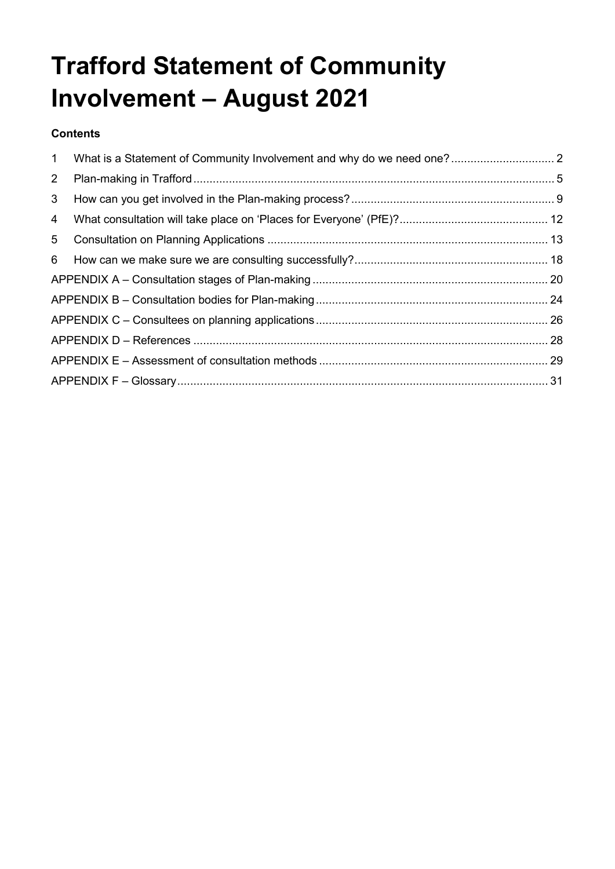# **Trafford Statement of Community Involvement – August 2021**

#### **Contents**

| $2^{\circ}$    |  |
|----------------|--|
| 3 <sup>1</sup> |  |
| 4              |  |
|                |  |
|                |  |
|                |  |
|                |  |
|                |  |
|                |  |
|                |  |
|                |  |
|                |  |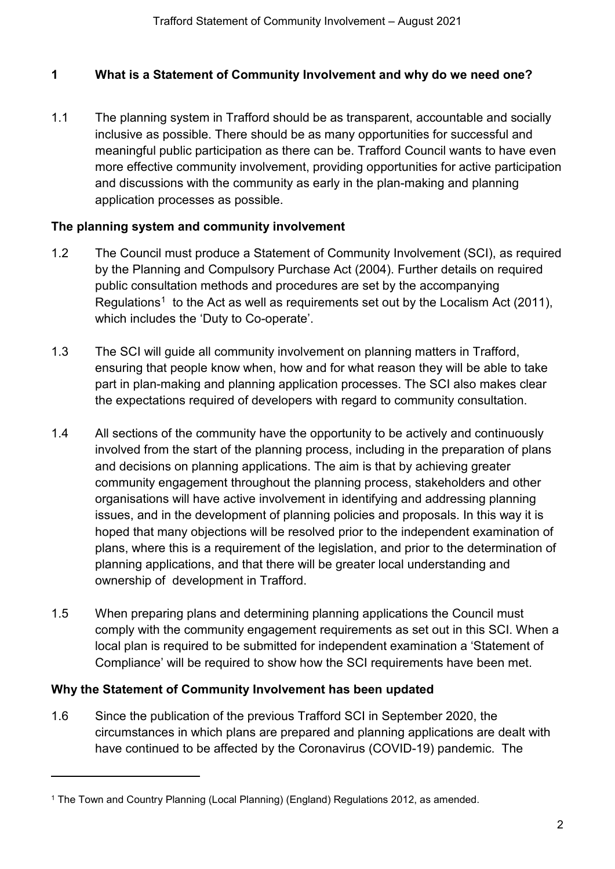# <span id="page-1-0"></span>**1 What is a Statement of Community Involvement and why do we need one?**

1.1 The planning system in Trafford should be as transparent, accountable and socially inclusive as possible. There should be as many opportunities for successful and meaningful public participation as there can be. Trafford Council wants to have even more effective community involvement, providing opportunities for active participation and discussions with the community as early in the plan-making and planning application processes as possible.

# **The planning system and community involvement**

- 1.2 The Council must produce a Statement of Community Involvement (SCI), as required by the Planning and Compulsory Purchase Act (2004). Further details on required public consultation methods and procedures are set by the accompanying Regulations<sup>[1](#page-1-1)</sup> to the Act as well as requirements set out by the Localism Act (2011), which includes the 'Duty to Co-operate'.
- 1.3 The SCI will guide all community involvement on planning matters in Trafford, ensuring that people know when, how and for what reason they will be able to take part in plan-making and planning application processes. The SCI also makes clear the expectations required of developers with regard to community consultation.
- 1.4 All sections of the community have the opportunity to be actively and continuously involved from the start of the planning process, including in the preparation of plans and decisions on planning applications. The aim is that by achieving greater community engagement throughout the planning process, stakeholders and other organisations will have active involvement in identifying and addressing planning issues, and in the development of planning policies and proposals. In this way it is hoped that many objections will be resolved prior to the independent examination of plans, where this is a requirement of the legislation, and prior to the determination of planning applications, and that there will be greater local understanding and ownership of development in Trafford.
- 1.5 When preparing plans and determining planning applications the Council must comply with the community engagement requirements as set out in this SCI. When a local plan is required to be submitted for independent examination a 'Statement of Compliance' will be required to show how the SCI requirements have been met.

# **Why the Statement of Community Involvement has been updated**

 $\ddot{\phantom{a}}$ 

1.6 Since the publication of the previous Trafford SCI in September 2020, the circumstances in which plans are prepared and planning applications are dealt with have continued to be affected by the Coronavirus (COVID-19) pandemic. The

<span id="page-1-1"></span><sup>1</sup> The Town and Country Planning (Local Planning) (England) Regulations 2012, as amended.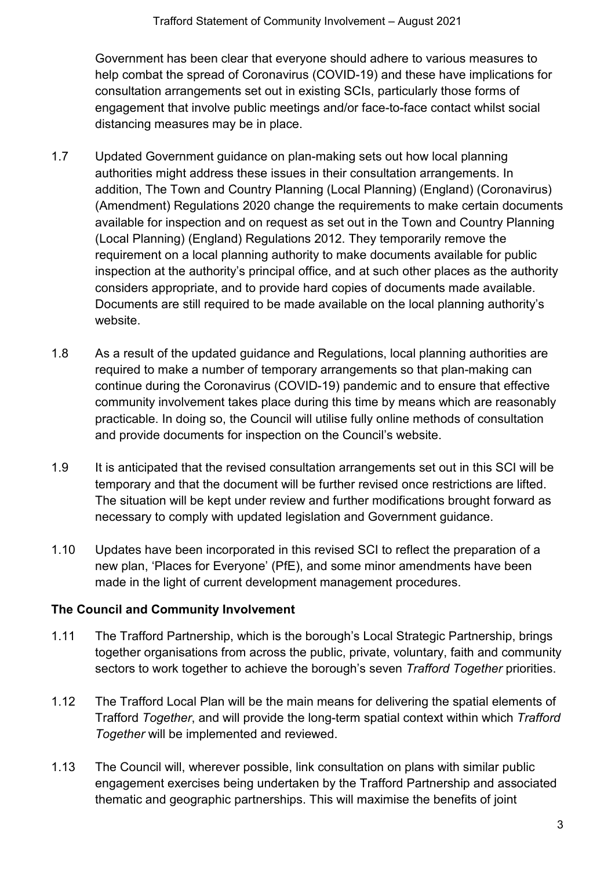Government has been clear that everyone should adhere to various measures to help combat the spread of Coronavirus (COVID-19) and these have implications for consultation arrangements set out in existing SCIs, particularly those forms of engagement that involve public meetings and/or face-to-face contact whilst social distancing measures may be in place.

- 1.7 Updated Government guidance on plan-making sets out how local planning authorities might address these issues in their consultation arrangements. In addition, The Town and Country Planning (Local Planning) (England) (Coronavirus) (Amendment) Regulations 2020 change the requirements to make certain documents available for inspection and on request as set out in the Town and Country Planning (Local Planning) (England) Regulations 2012. They temporarily remove the requirement on a local planning authority to make documents available for public inspection at the authority's principal office, and at such other places as the authority considers appropriate, and to provide hard copies of documents made available. Documents are still required to be made available on the local planning authority's website.
- 1.8 As a result of the updated guidance and Regulations, local planning authorities are required to make a number of temporary arrangements so that plan-making can continue during the Coronavirus (COVID-19) pandemic and to ensure that effective community involvement takes place during this time by means which are reasonably practicable. In doing so, the Council will utilise fully online methods of consultation and provide documents for inspection on the Council's website.
- 1.9 It is anticipated that the revised consultation arrangements set out in this SCI will be temporary and that the document will be further revised once restrictions are lifted. The situation will be kept under review and further modifications brought forward as necessary to comply with updated legislation and Government guidance.
- 1.10 Updates have been incorporated in this revised SCI to reflect the preparation of a new plan, 'Places for Everyone' (PfE), and some minor amendments have been made in the light of current development management procedures.

# **The Council and Community Involvement**

- 1.11 The Trafford Partnership, which is the borough's Local Strategic Partnership, brings together organisations from across the public, private, voluntary, faith and community sectors to work together to achieve the borough's seven *Trafford Together* priorities.
- 1.12 The Trafford Local Plan will be the main means for delivering the spatial elements of Trafford *Together*, and will provide the long-term spatial context within which *Trafford Together* will be implemented and reviewed.
- 1.13 The Council will, wherever possible, link consultation on plans with similar public engagement exercises being undertaken by the Trafford Partnership and associated thematic and geographic partnerships. This will maximise the benefits of joint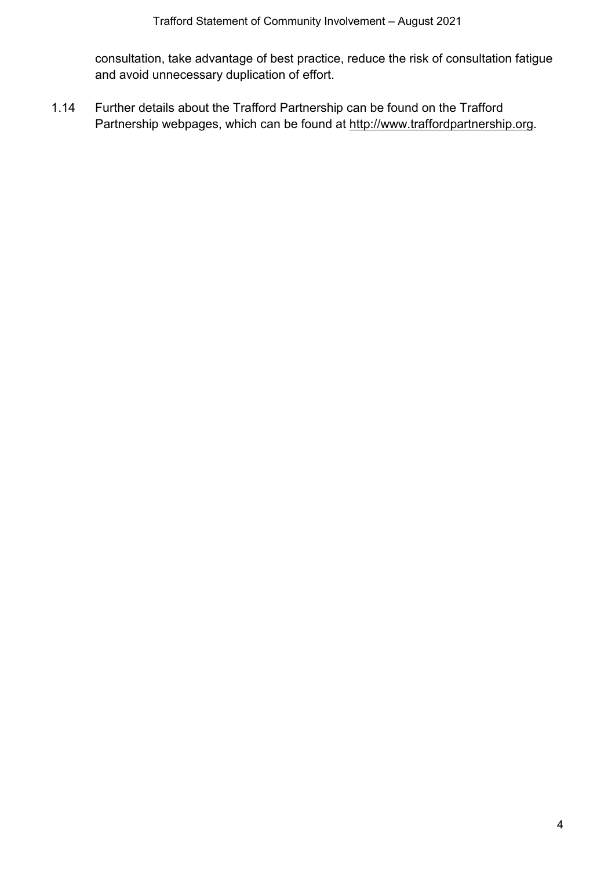consultation, take advantage of best practice, reduce the risk of consultation fatigue and avoid unnecessary duplication of effort.

1.14 Further details about the Trafford Partnership can be found on the Trafford Partnership webpages, which can be found at [http://www.traffordpartnership.org.](http://www.traffordpartnership.org/)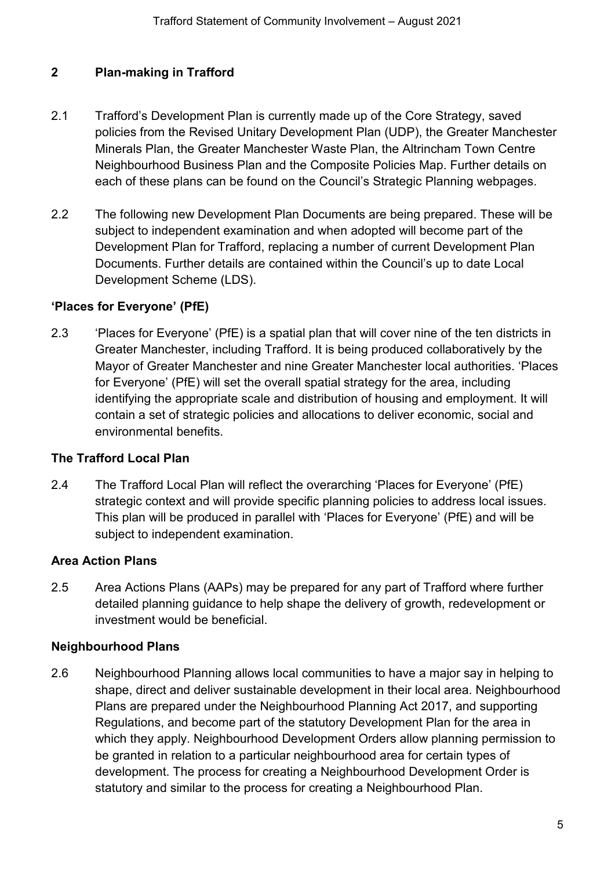# <span id="page-4-0"></span>**2 Plan-making in Trafford**

- 2.1 Trafford's Development Plan is currently made up of the Core Strategy, saved policies from the Revised Unitary Development Plan (UDP), the Greater Manchester Minerals Plan, the Greater Manchester Waste Plan, the Altrincham Town Centre Neighbourhood Business Plan and the Composite Policies Map. Further details on each of these plans can be found on the Council's Strategic Planning webpages.
- 2.2 The following new Development Plan Documents are being prepared. These will be subject to independent examination and when adopted will become part of the Development Plan for Trafford, replacing a number of current Development Plan Documents. Further details are contained within the Council's up to date Local Development Scheme (LDS).

#### **'Places for Everyone' (PfE)**

2.3 'Places for Everyone' (PfE) is a spatial plan that will cover nine of the ten districts in Greater Manchester, including Trafford. It is being produced collaboratively by the Mayor of Greater Manchester and nine Greater Manchester local authorities. 'Places for Everyone' (PfE) will set the overall spatial strategy for the area, including identifying the appropriate scale and distribution of housing and employment. It will contain a set of strategic policies and allocations to deliver economic, social and environmental benefits.

#### **The Trafford Local Plan**

2.4 The Trafford Local Plan will reflect the overarching 'Places for Everyone' (PfE) strategic context and will provide specific planning policies to address local issues. This plan will be produced in parallel with 'Places for Everyone' (PfE) and will be subject to independent examination.

#### **Area Action Plans**

2.5 Area Actions Plans (AAPs) may be prepared for any part of Trafford where further detailed planning guidance to help shape the delivery of growth, redevelopment or investment would be beneficial.

#### **Neighbourhood Plans**

2.6 Neighbourhood Planning allows local communities to have a major say in helping to shape, direct and deliver sustainable development in their local area. Neighbourhood Plans are prepared under the Neighbourhood Planning Act 2017, and supporting Regulations, and become part of the statutory Development Plan for the area in which they apply. Neighbourhood Development Orders allow planning permission to be granted in relation to a particular neighbourhood area for certain types of development. The process for creating a Neighbourhood Development Order is statutory and similar to the process for creating a Neighbourhood Plan.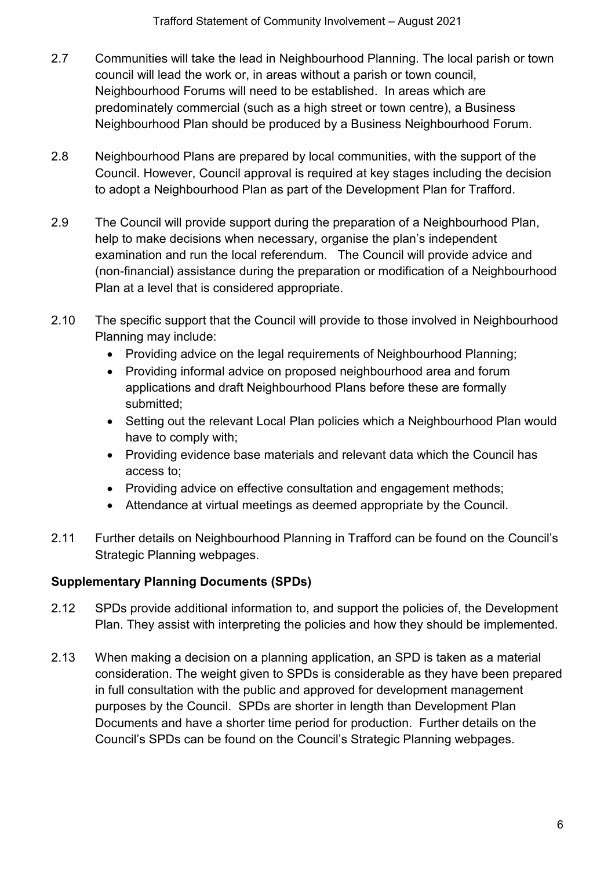- 2.7 Communities will take the lead in Neighbourhood Planning. The local parish or town council will lead the work or, in areas without a parish or town council, Neighbourhood Forums will need to be established. In areas which are predominately commercial (such as a high street or town centre), a Business Neighbourhood Plan should be produced by a Business Neighbourhood Forum.
- 2.8 Neighbourhood Plans are prepared by local communities, with the support of the Council. However, Council approval is required at key stages including the decision to adopt a Neighbourhood Plan as part of the Development Plan for Trafford.
- 2.9 The Council will provide support during the preparation of a Neighbourhood Plan, help to make decisions when necessary, organise the plan's independent examination and run the local referendum. The Council will provide advice and (non-financial) assistance during the preparation or modification of a Neighbourhood Plan at a level that is considered appropriate.
- 2.10 The specific support that the Council will provide to those involved in Neighbourhood Planning may include:
	- Providing advice on the legal requirements of Neighbourhood Planning;
	- Providing informal advice on proposed neighbourhood area and forum applications and draft Neighbourhood Plans before these are formally submitted;
	- Setting out the relevant Local Plan policies which a Neighbourhood Plan would have to comply with;
	- Providing evidence base materials and relevant data which the Council has access to;
	- Providing advice on effective consultation and engagement methods;
	- Attendance at virtual meetings as deemed appropriate by the Council.
- 2.11 Further details on Neighbourhood Planning in Trafford can be found on the Council's Strategic Planning webpages.

# **Supplementary Planning Documents (SPDs)**

- 2.12 SPDs provide additional information to, and support the policies of, the Development Plan. They assist with interpreting the policies and how they should be implemented.
- 2.13 When making a decision on a planning application, an SPD is taken as a material consideration. The weight given to SPDs is considerable as they have been prepared in full consultation with the public and approved for development management purposes by the Council. SPDs are shorter in length than Development Plan Documents and have a shorter time period for production. Further details on the Council's SPDs can be found on the Council's Strategic Planning webpages.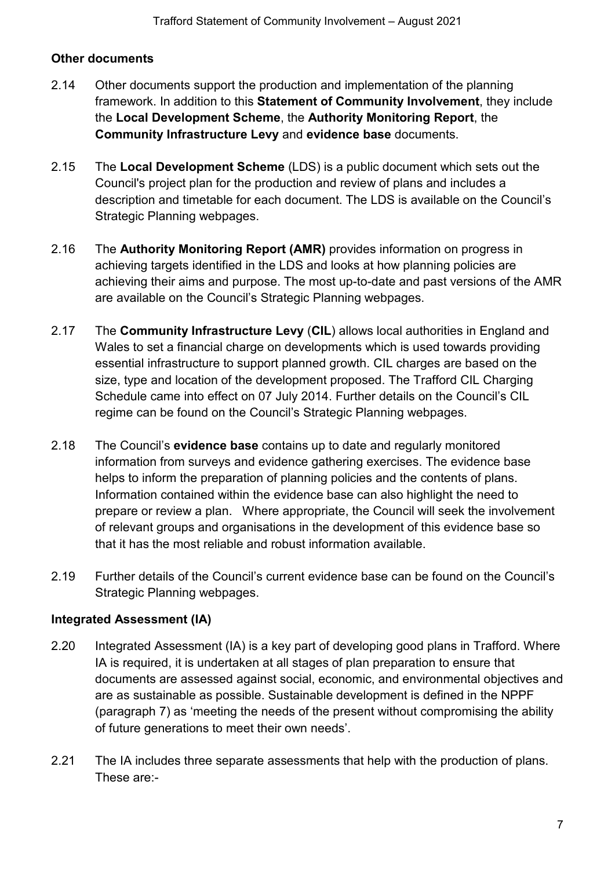# **Other documents**

- 2.14 Other documents support the production and implementation of the planning framework. In addition to this **Statement of Community Involvement**, they include the **Local Development Scheme**, the **Authority Monitoring Report**, the **Community Infrastructure Levy** and **evidence base** documents.
- 2.15 The **Local Development Scheme** (LDS) is a public document which sets out the Council's project plan for the production and review of plans and includes a description and timetable for each document. The LDS is available on the Council's Strategic Planning webpages.
- 2.16 The **Authority Monitoring Report (AMR)** provides information on progress in achieving targets identified in the LDS and looks at how planning policies are achieving their aims and purpose. The most up-to-date and past versions of the AMR are available on the Council's Strategic Planning webpages.
- 2.17 The **Community Infrastructure Levy** (**CIL**) allows local authorities in England and Wales to set a financial charge on developments which is used towards providing essential infrastructure to support planned growth. CIL charges are based on the size, type and location of the development proposed. The Trafford CIL Charging Schedule came into effect on 07 July 2014. Further details on the Council's CIL regime can be found on the Council's Strategic Planning webpages.
- 2.18 The Council's **evidence base** contains up to date and regularly monitored information from surveys and evidence gathering exercises. The evidence base helps to inform the preparation of planning policies and the contents of plans. Information contained within the evidence base can also highlight the need to prepare or review a plan. Where appropriate, the Council will seek the involvement of relevant groups and organisations in the development of this evidence base so that it has the most reliable and robust information available.
- 2.19 Further details of the Council's current evidence base can be found on the Council's Strategic Planning webpages.

#### **Integrated Assessment (IA)**

- 2.20 Integrated Assessment (IA) is a key part of developing good plans in Trafford. Where IA is required, it is undertaken at all stages of plan preparation to ensure that documents are assessed against social, economic, and environmental objectives and are as sustainable as possible. Sustainable development is defined in the NPPF (paragraph 7) as 'meeting the needs of the present without compromising the ability of future generations to meet their own needs'.
- 2.21 The IA includes three separate assessments that help with the production of plans. These are:-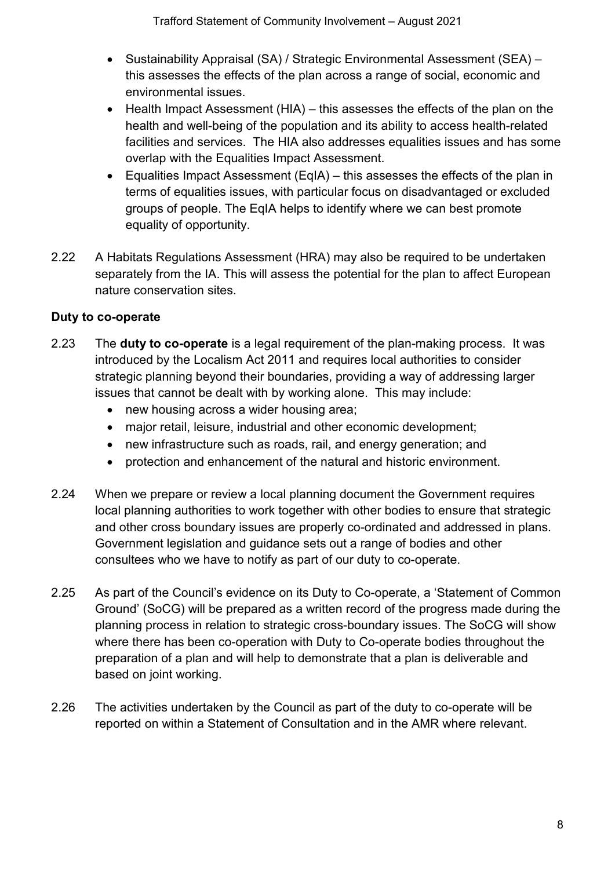- Sustainability Appraisal (SA) / Strategic Environmental Assessment (SEA) this assesses the effects of the plan across a range of social, economic and environmental issues.
- Health Impact Assessment (HIA) this assesses the effects of the plan on the health and well-being of the population and its ability to access health-related facilities and services. The HIA also addresses equalities issues and has some overlap with the Equalities Impact Assessment.
- Equalities Impact Assessment (EqIA) this assesses the effects of the plan in terms of equalities issues, with particular focus on disadvantaged or excluded groups of people. The EqIA helps to identify where we can best promote equality of opportunity.
- 2.22 A Habitats Regulations Assessment (HRA) may also be required to be undertaken separately from the IA. This will assess the potential for the plan to affect European nature conservation sites.

# **Duty to co-operate**

- 2.23 The **duty to co-operate** is a legal requirement of the plan-making process. It was introduced by the Localism Act 2011 and requires local authorities to consider strategic planning beyond their boundaries, providing a way of addressing larger issues that cannot be dealt with by working alone. This may include:
	- new housing across a wider housing area;
	- major retail, leisure, industrial and other economic development:
	- new infrastructure such as roads, rail, and energy generation; and
	- protection and enhancement of the natural and historic environment.
- 2.24 When we prepare or review a local planning document the Government requires local planning authorities to work together with other bodies to ensure that strategic and other cross boundary issues are properly co-ordinated and addressed in plans. Government legislation and guidance sets out a range of bodies and other consultees who we have to notify as part of our duty to co-operate.
- 2.25 As part of the Council's evidence on its Duty to Co-operate, a 'Statement of Common Ground' (SoCG) will be prepared as a written record of the progress made during the planning process in relation to strategic cross-boundary issues. The SoCG will show where there has been co-operation with Duty to Co-operate bodies throughout the preparation of a plan and will help to demonstrate that a plan is deliverable and based on joint working.
- 2.26 The activities undertaken by the Council as part of the duty to co-operate will be reported on within a Statement of Consultation and in the AMR where relevant.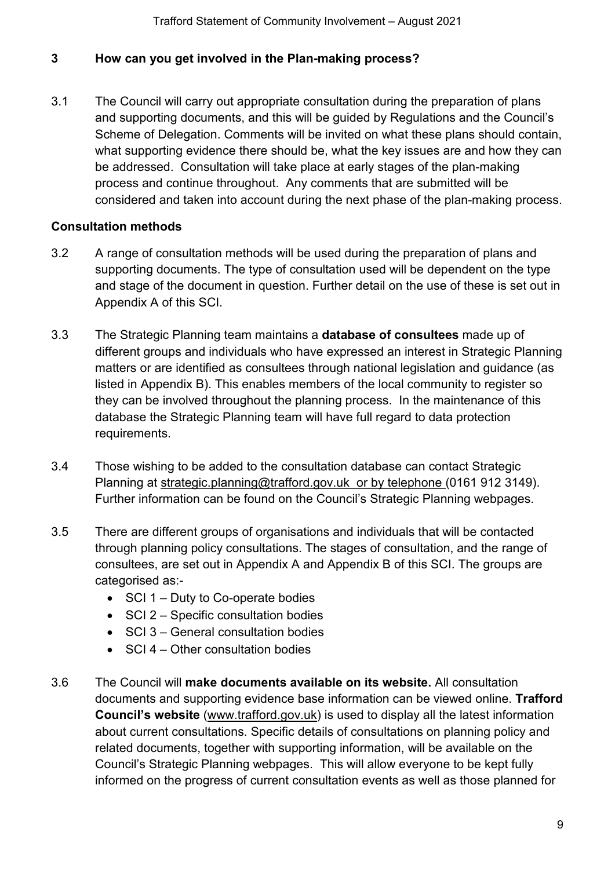#### <span id="page-8-0"></span>**3 How can you get involved in the Plan-making process?**

3.1 The Council will carry out appropriate consultation during the preparation of plans and supporting documents, and this will be guided by Regulations and the Council's Scheme of Delegation. Comments will be invited on what these plans should contain, what supporting evidence there should be, what the key issues are and how they can be addressed. Consultation will take place at early stages of the plan-making process and continue throughout. Any comments that are submitted will be considered and taken into account during the next phase of the plan-making process.

#### **Consultation methods**

- 3.2 A range of consultation methods will be used during the preparation of plans and supporting documents. The type of consultation used will be dependent on the type and stage of the document in question. Further detail on the use of these is set out in Appendix A of this SCI.
- 3.3 The Strategic Planning team maintains a **database of consultees** made up of different groups and individuals who have expressed an interest in Strategic Planning matters or are identified as consultees through national legislation and guidance (as listed in Appendix B). This enables members of the local community to register so they can be involved throughout the planning process. In the maintenance of this database the Strategic Planning team will have full regard to data protection requirements.
- 3.4 Those wishing to be added to the consultation database can contact Strategic Planning at [strategic.planning@trafford.gov.uk](mailto:strategic.planning@trafford.gov.uk) or by telephone (0161 912 3149). Further information can be found on the Council's Strategic Planning webpages.
- 3.5 There are different groups of organisations and individuals that will be contacted through planning policy consultations. The stages of consultation, and the range of consultees, are set out in Appendix A and Appendix B of this SCI. The groups are categorised as:-
	- SCI 1 Duty to Co-operate bodies
	- SCI 2 Specific consultation bodies
	- SCI 3 General consultation bodies
	- SCI 4 Other consultation bodies
- 3.6 The Council will **make documents available on its website.** All consultation documents and supporting evidence base information can be viewed online. **Trafford Council's website** [\(www.trafford.gov.uk\)](http://www.trafford.gov.uk/) is used to display all the latest information about current consultations. Specific details of consultations on planning policy and related documents, together with supporting information, will be available on the Council's Strategic Planning webpages. This will allow everyone to be kept fully informed on the progress of current consultation events as well as those planned for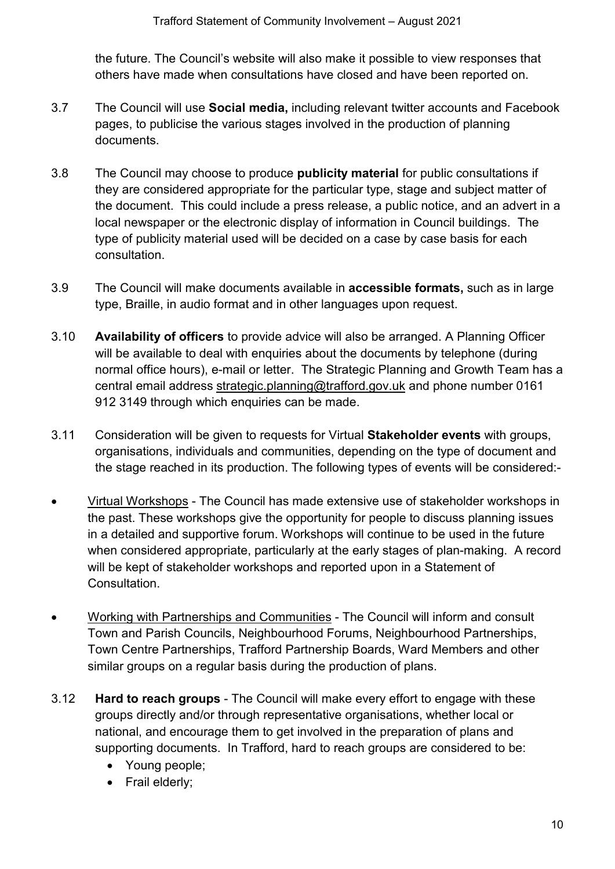the future. The Council's website will also make it possible to view responses that others have made when consultations have closed and have been reported on.

- 3.7 The Council will use **Social media,** including relevant twitter accounts and Facebook pages, to publicise the various stages involved in the production of planning documents.
- 3.8 The Council may choose to produce **publicity material** for public consultations if they are considered appropriate for the particular type, stage and subject matter of the document. This could include a press release, a public notice, and an advert in a local newspaper or the electronic display of information in Council buildings. The type of publicity material used will be decided on a case by case basis for each consultation.
- 3.9 The Council will make documents available in **accessible formats,** such as in large type, Braille, in audio format and in other languages upon request.
- 3.10 **Availability of officers** to provide advice will also be arranged. A Planning Officer will be available to deal with enquiries about the documents by telephone (during normal office hours), e-mail or letter. The Strategic Planning and Growth Team has a central email address [strategic.planning@trafford.gov.uk](mailto:strategic.planning@trafford.gov.uk) and phone number 0161 912 3149 through which enquiries can be made.
- 3.11 Consideration will be given to requests for Virtual **Stakeholder events** with groups, organisations, individuals and communities, depending on the type of document and the stage reached in its production. The following types of events will be considered:-
- Virtual Workshops The Council has made extensive use of stakeholder workshops in the past. These workshops give the opportunity for people to discuss planning issues in a detailed and supportive forum. Workshops will continue to be used in the future when considered appropriate, particularly at the early stages of plan-making. A record will be kept of stakeholder workshops and reported upon in a Statement of Consultation.
- Working with Partnerships and Communities The Council will inform and consult Town and Parish Councils, Neighbourhood Forums, Neighbourhood Partnerships, Town Centre Partnerships, Trafford Partnership Boards, Ward Members and other similar groups on a regular basis during the production of plans.
- 3.12 **Hard to reach groups** The Council will make every effort to engage with these groups directly and/or through representative organisations, whether local or national, and encourage them to get involved in the preparation of plans and supporting documents. In Trafford, hard to reach groups are considered to be:
	- Young people;
	- Frail elderly;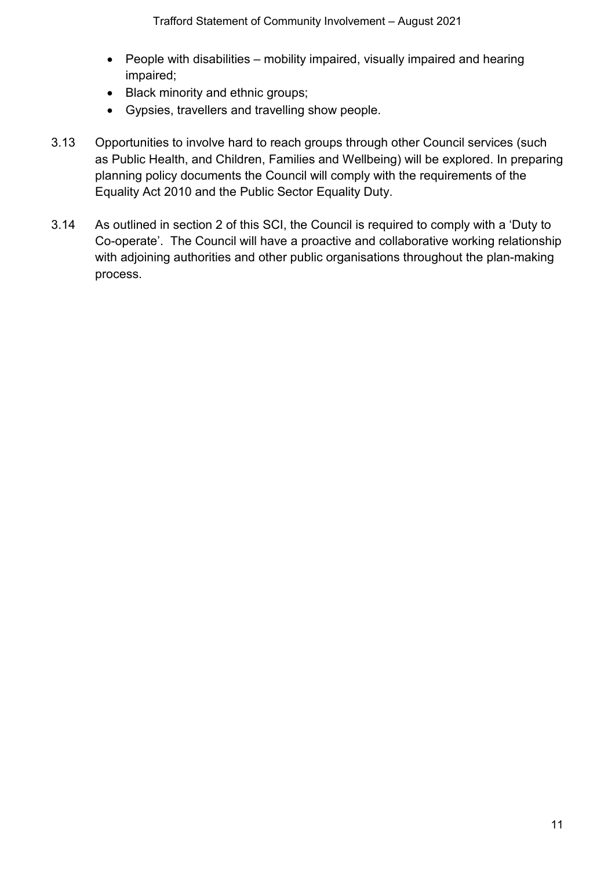- People with disabilities mobility impaired, visually impaired and hearing impaired;
- Black minority and ethnic groups;
- Gypsies, travellers and travelling show people.
- 3.13 Opportunities to involve hard to reach groups through other Council services (such as Public Health, and Children, Families and Wellbeing) will be explored. In preparing planning policy documents the Council will comply with the requirements of the Equality Act 2010 and the Public Sector Equality Duty.
- 3.14 As outlined in section 2 of this SCI, the Council is required to comply with a 'Duty to Co-operate'. The Council will have a proactive and collaborative working relationship with adjoining authorities and other public organisations throughout the plan-making process.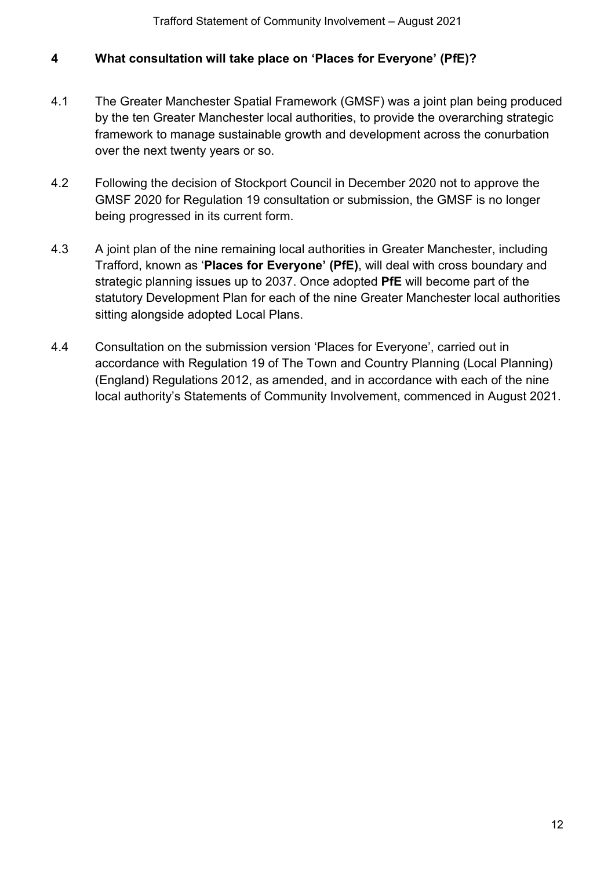#### <span id="page-11-0"></span>**4 What consultation will take place on 'Places for Everyone' (PfE)?**

- 4.1 The Greater Manchester Spatial Framework (GMSF) was a joint plan being produced by the ten Greater Manchester local authorities, to provide the overarching strategic framework to manage sustainable growth and development across the conurbation over the next twenty years or so.
- 4.2 Following the decision of Stockport Council in December 2020 not to approve the GMSF 2020 for Regulation 19 consultation or submission, the GMSF is no longer being progressed in its current form.
- 4.3 A joint plan of the nine remaining local authorities in Greater Manchester, including Trafford, known as '**Places for Everyone' (PfE)**, will deal with cross boundary and strategic planning issues up to 2037. Once adopted **PfE** will become part of the statutory Development Plan for each of the nine Greater Manchester local authorities sitting alongside adopted Local Plans.
- 4.4 Consultation on the submission version 'Places for Everyone', carried out in accordance with Regulation 19 of The Town and Country Planning (Local Planning) (England) Regulations 2012, as amended, and in accordance with each of the nine local authority's Statements of Community Involvement, commenced in August 2021.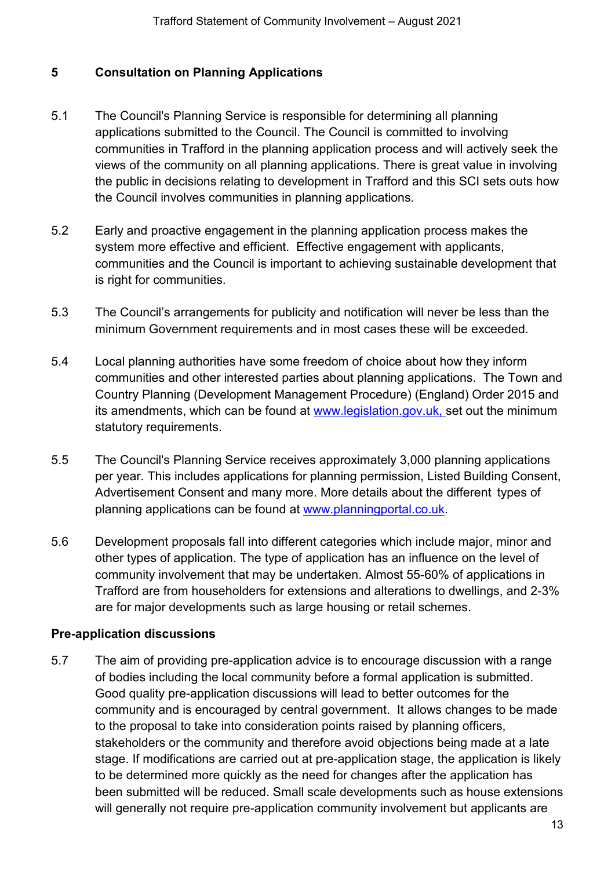# <span id="page-12-0"></span>**5 Consultation on Planning Applications**

- 5.1 The Council's Planning Service is responsible for determining all planning applications submitted to the Council. The Council is committed to involving communities in Trafford in the planning application process and will actively seek the views of the community on all planning applications. There is great value in involving the public in decisions relating to development in Trafford and this SCI sets outs how the Council involves communities in planning applications.
- 5.2 Early and proactive engagement in the planning application process makes the system more effective and efficient. Effective engagement with applicants, communities and the Council is important to achieving sustainable development that is right for communities.
- 5.3 The Council's arrangements for publicity and notification will never be less than the minimum Government requirements and in most cases these will be exceeded.
- 5.4 Local planning authorities have some freedom of choice about how they inform communities and other interested parties about planning applications. The Town and Country Planning (Development Management Procedure) (England) Order 2015 and its amendments, which can be found at www.legislation.gov.uk, set out the minimum statutory requirements.
- 5.5 The Council's Planning Service receives approximately 3,000 planning applications per year. This includes applications for planning permission, Listed Building Consent, Advertisement Consent and many more. More details about the different types of planning applications can be found at [www.planningportal.co.uk.](http://www.planningportal.co.uk/)
- 5.6 Development proposals fall into different categories which include major, minor and other types of application. The type of application has an influence on the level of community involvement that may be undertaken. Almost 55-60% of applications in Trafford are from householders for extensions and alterations to dwellings, and 2-3% are for major developments such as large housing or retail schemes.

#### **Pre-application discussions**

5.7 The aim of providing pre-application advice is to encourage discussion with a range of bodies including the local community before a formal application is submitted. Good quality pre-application discussions will lead to better outcomes for the community and is encouraged by central government. It allows changes to be made to the proposal to take into consideration points raised by planning officers, stakeholders or the community and therefore avoid objections being made at a late stage. If modifications are carried out at pre-application stage, the application is likely to be determined more quickly as the need for changes after the application has been submitted will be reduced. Small scale developments such as house extensions will generally not require pre-application community involvement but applicants are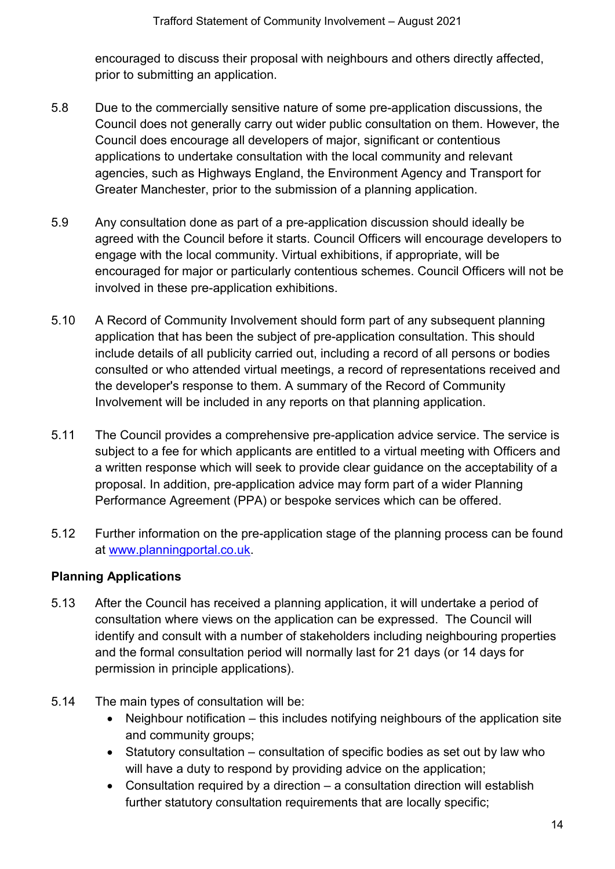encouraged to discuss their proposal with neighbours and others directly affected, prior to submitting an application.

- 5.8 Due to the commercially sensitive nature of some pre-application discussions, the Council does not generally carry out wider public consultation on them. However, the Council does encourage all developers of major, significant or contentious applications to undertake consultation with the local community and relevant agencies, such as Highways England, the Environment Agency and Transport for Greater Manchester, prior to the submission of a planning application.
- 5.9 Any consultation done as part of a pre-application discussion should ideally be agreed with the Council before it starts. Council Officers will encourage developers to engage with the local community. Virtual exhibitions, if appropriate, will be encouraged for major or particularly contentious schemes. Council Officers will not be involved in these pre-application exhibitions.
- 5.10 A Record of Community Involvement should form part of any subsequent planning application that has been the subject of pre-application consultation. This should include details of all publicity carried out, including a record of all persons or bodies consulted or who attended virtual meetings, a record of representations received and the developer's response to them. A summary of the Record of Community Involvement will be included in any reports on that planning application.
- 5.11 The Council provides a comprehensive pre-application advice service. The service is subject to a fee for which applicants are entitled to a virtual meeting with Officers and a written response which will seek to provide clear guidance on the acceptability of a proposal. In addition, pre-application advice may form part of a wider Planning Performance Agreement (PPA) or bespoke services which can be offered.
- 5.12 Further information on the pre-application stage of the planning process can be found at [www.planningportal.co.uk.](http://www.planningportal.co.uk/)

# **Planning Applications**

- 5.13 After the Council has received a planning application, it will undertake a period of consultation where views on the application can be expressed. The Council will identify and consult with a number of stakeholders including neighbouring properties and the formal consultation period will normally last for 21 days (or 14 days for permission in principle applications).
- 5.14 The main types of consultation will be:
	- Neighbour notification this includes notifying neighbours of the application site and community groups;
	- Statutory consultation consultation of specific bodies as set out by law who will have a duty to respond by providing advice on the application;
	- Consultation required by a direction a consultation direction will establish further statutory consultation requirements that are locally specific;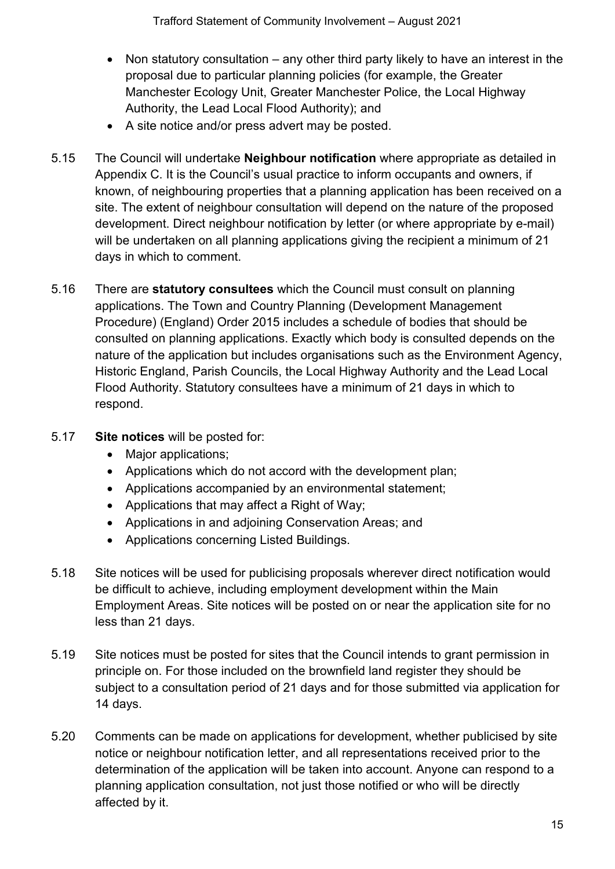- Non statutory consultation any other third party likely to have an interest in the proposal due to particular planning policies (for example, the Greater Manchester Ecology Unit, Greater Manchester Police, the Local Highway Authority, the Lead Local Flood Authority); and
- A site notice and/or press advert may be posted.
- 5.15 The Council will undertake **Neighbour notification** where appropriate as detailed in Appendix C. It is the Council's usual practice to inform occupants and owners, if known, of neighbouring properties that a planning application has been received on a site. The extent of neighbour consultation will depend on the nature of the proposed development. Direct neighbour notification by letter (or where appropriate by e-mail) will be undertaken on all planning applications giving the recipient a minimum of 21 days in which to comment.
- 5.16 There are **statutory consultees** which the Council must consult on planning applications. The Town and Country Planning (Development Management Procedure) (England) Order 2015 includes a schedule of bodies that should be consulted on planning applications. Exactly which body is consulted depends on the nature of the application but includes organisations such as the Environment Agency, Historic England, Parish Councils, the Local Highway Authority and the Lead Local Flood Authority. Statutory consultees have a minimum of 21 days in which to respond.
- 5.17 **Site notices** will be posted for:
	- Major applications;
	- Applications which do not accord with the development plan;
	- Applications accompanied by an environmental statement;
	- Applications that may affect a Right of Way;
	- Applications in and adjoining Conservation Areas; and
	- Applications concerning Listed Buildings.
- 5.18 Site notices will be used for publicising proposals wherever direct notification would be difficult to achieve, including employment development within the Main Employment Areas. Site notices will be posted on or near the application site for no less than 21 days.
- 5.19 Site notices must be posted for sites that the Council intends to grant permission in principle on. For those included on the brownfield land register they should be subject to a consultation period of 21 days and for those submitted via application for 14 days.
- 5.20 Comments can be made on applications for development, whether publicised by site notice or neighbour notification letter, and all representations received prior to the determination of the application will be taken into account. Anyone can respond to a planning application consultation, not just those notified or who will be directly affected by it.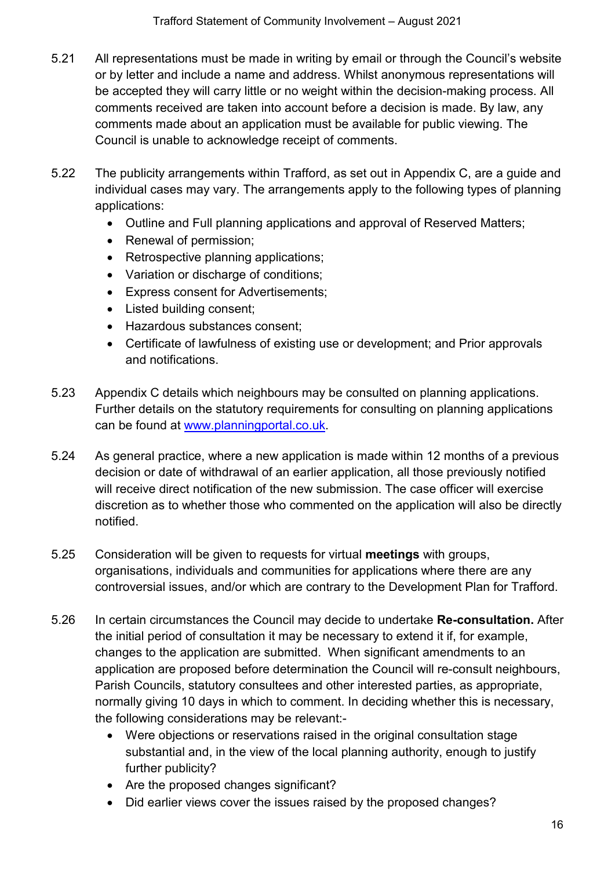- 5.21 All representations must be made in writing by email or through the Council's website or by letter and include a name and address. Whilst anonymous representations will be accepted they will carry little or no weight within the decision-making process. All comments received are taken into account before a decision is made. By law, any comments made about an application must be available for public viewing. The Council is unable to acknowledge receipt of comments.
- 5.22 The publicity arrangements within Trafford, as set out in Appendix C, are a guide and individual cases may vary. The arrangements apply to the following types of planning applications:
	- Outline and Full planning applications and approval of Reserved Matters;
	- Renewal of permission;
	- Retrospective planning applications;
	- Variation or discharge of conditions;
	- Express consent for Advertisements;
	- Listed building consent;
	- Hazardous substances consent;
	- Certificate of lawfulness of existing use or development; and Prior approvals and notifications.
- 5.23 Appendix C details which neighbours may be consulted on planning applications. Further details on the statutory requirements for consulting on planning applications can be found at [www.planningportal.co.uk.](http://www.planningportal.co.uk/)
- 5.24 As general practice, where a new application is made within 12 months of a previous decision or date of withdrawal of an earlier application, all those previously notified will receive direct notification of the new submission. The case officer will exercise discretion as to whether those who commented on the application will also be directly notified.
- 5.25 Consideration will be given to requests for virtual **meetings** with groups, organisations, individuals and communities for applications where there are any controversial issues, and/or which are contrary to the Development Plan for Trafford.
- 5.26 In certain circumstances the Council may decide to undertake **Re-consultation.** After the initial period of consultation it may be necessary to extend it if, for example, changes to the application are submitted. When significant amendments to an application are proposed before determination the Council will re-consult neighbours, Parish Councils, statutory consultees and other interested parties, as appropriate, normally giving 10 days in which to comment. In deciding whether this is necessary, the following considerations may be relevant:-
	- Were objections or reservations raised in the original consultation stage substantial and, in the view of the local planning authority, enough to justify further publicity?
	- Are the proposed changes significant?
	- Did earlier views cover the issues raised by the proposed changes?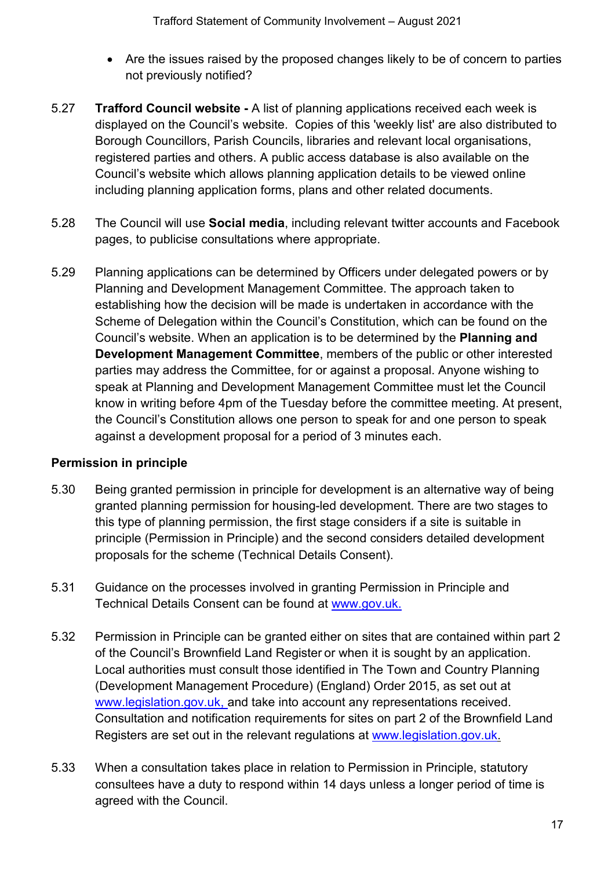- Are the issues raised by the proposed changes likely to be of concern to parties not previously notified?
- 5.27 **Trafford Council website -** A list of planning applications received each week is displayed on the Council's website. Copies of this 'weekly list' are also distributed to Borough Councillors, Parish Councils, libraries and relevant local organisations, registered parties and others. A public access database is also available on the Council's website which allows planning application details to be viewed online including planning application forms, plans and other related documents.
- 5.28 The Council will use **Social media**, including relevant twitter accounts and Facebook pages, to publicise consultations where appropriate.
- 5.29 Planning applications can be determined by Officers under delegated powers or by Planning and Development Management Committee. The approach taken to establishing how the decision will be made is undertaken in accordance with the Scheme of Delegation within the Council's Constitution, which can be found on the Council's website. When an application is to be determined by the **Planning and Development Management Committee**, members of the public or other interested parties may address the Committee, for or against a proposal. Anyone wishing to speak at Planning and Development Management Committee must let the Council know in writing before 4pm of the Tuesday before the committee meeting. At present, the Council's Constitution allows one person to speak for and one person to speak against a development proposal for a period of 3 minutes each.

#### **Permission in principle**

- 5.30 Being granted permission in principle for development is an alternative way of being granted planning permission for housing-led development. There are two stages to this type of planning permission, the first stage considers if a site is suitable in principle (Permission in Principle) and the second considers detailed development proposals for the scheme (Technical Details Consent).
- 5.31 Guidance on the processes involved in granting Permission in Principle and Technical Details Consent can be found at [www.gov.uk.](http://www.gov.uk:-)
- 5.32 Permission in Principle can be granted either on sites that are contained within part 2 of the Council's Brownfield Land Register or when it is sought by an application. Local authorities must consult those identified in The Town and Country Planning (Development Management Procedure) (England) Order 2015, as set out at www.legislation.gov.uk, and take into account any representations received. Consultation and notification requirements for sites on part 2 of the Brownfield Land Registers are set out in the relevant regulations at [www.legislation.gov.uk.](http://www.legislation.gov.uk/)
- 5.33 When a consultation takes place in relation to Permission in Principle, statutory consultees have a duty to respond within 14 days unless a longer period of time is agreed with the Council.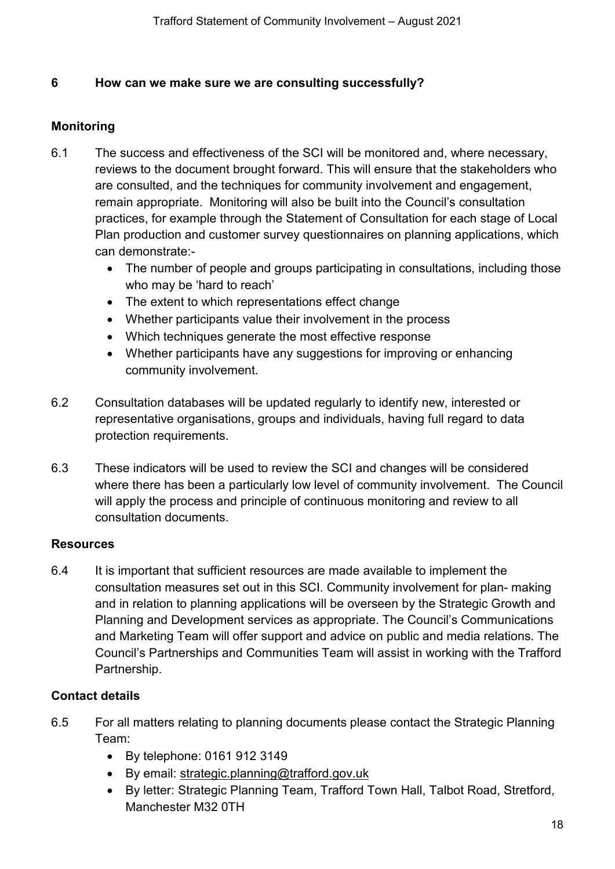#### <span id="page-17-0"></span>**6 How can we make sure we are consulting successfully?**

#### **Monitoring**

- 6.1 The success and effectiveness of the SCI will be monitored and, where necessary, reviews to the document brought forward. This will ensure that the stakeholders who are consulted, and the techniques for community involvement and engagement, remain appropriate. Monitoring will also be built into the Council's consultation practices, for example through the Statement of Consultation for each stage of Local Plan production and customer survey questionnaires on planning applications, which can demonstrate:-
	- The number of people and groups participating in consultations, including those who may be 'hard to reach'
	- The extent to which representations effect change
	- Whether participants value their involvement in the process
	- Which techniques generate the most effective response
	- Whether participants have any suggestions for improving or enhancing community involvement.
- 6.2 Consultation databases will be updated regularly to identify new, interested or representative organisations, groups and individuals, having full regard to data protection requirements.
- 6.3 These indicators will be used to review the SCI and changes will be considered where there has been a particularly low level of community involvement. The Council will apply the process and principle of continuous monitoring and review to all consultation documents.

#### **Resources**

6.4 It is important that sufficient resources are made available to implement the consultation measures set out in this SCI. Community involvement for plan- making and in relation to planning applications will be overseen by the Strategic Growth and Planning and Development services as appropriate. The Council's Communications and Marketing Team will offer support and advice on public and media relations. The Council's Partnerships and Communities Team will assist in working with the Trafford Partnership.

# **Contact details**

- 6.5 For all matters relating to planning documents please contact the Strategic Planning Team:
	- By telephone: 0161 912 3149
	- By email: [strategic.planning@trafford.gov.uk](mailto:strategic.planning@trafford.gov.uk)
	- By letter: Strategic Planning Team, Trafford Town Hall, Talbot Road, Stretford, Manchester M32 0TH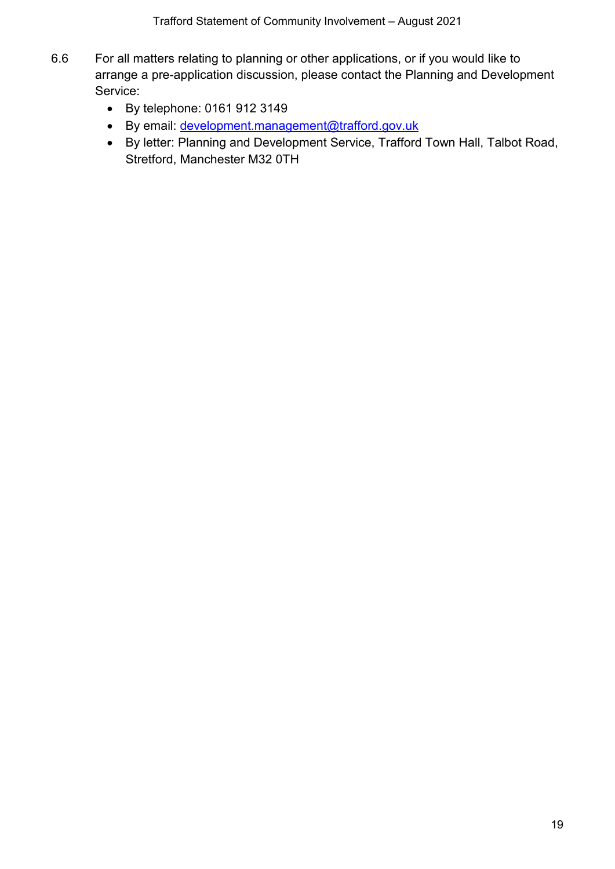Trafford Statement of Community Involvement – August 2021

- 6.6 For all matters relating to planning or other applications, or if you would like to arrange a pre-application discussion, please contact the Planning and Development Service:
	- By telephone: 0161 912 3149
	- By email: [development.management@trafford.gov.uk](mailto:development.management@trafford.gov.uk)
	- By letter: Planning and Development Service, Trafford Town Hall, Talbot Road, Stretford, Manchester M32 0TH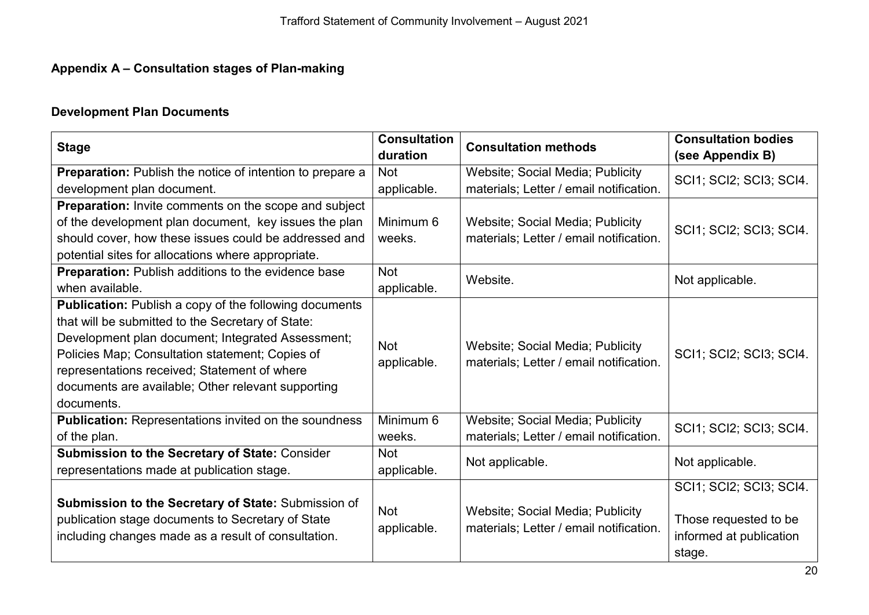# **Appendix A – Consultation stages of Plan-making**

# **Development Plan Documents**

<span id="page-19-0"></span>

| <b>Stage</b>                                                                                                                                                    | <b>Consultation</b><br>duration | <b>Consultation methods</b>                                                 | <b>Consultation bodies</b><br>(see Appendix B)             |
|-----------------------------------------------------------------------------------------------------------------------------------------------------------------|---------------------------------|-----------------------------------------------------------------------------|------------------------------------------------------------|
| <b>Preparation:</b> Publish the notice of intention to prepare a                                                                                                | <b>Not</b>                      | Website; Social Media; Publicity                                            | SCI1; SCI2; SCI3; SCI4.                                    |
| development plan document.                                                                                                                                      | applicable.                     | materials; Letter / email notification.                                     |                                                            |
| Preparation: Invite comments on the scope and subject                                                                                                           |                                 |                                                                             |                                                            |
| of the development plan document, key issues the plan                                                                                                           | Minimum 6                       | Website; Social Media; Publicity                                            | SCI1; SCI2; SCI3; SCI4.                                    |
| should cover, how these issues could be addressed and                                                                                                           | weeks.                          | materials; Letter / email notification.                                     |                                                            |
| potential sites for allocations where appropriate.                                                                                                              |                                 |                                                                             |                                                            |
| <b>Preparation:</b> Publish additions to the evidence base                                                                                                      | <b>Not</b>                      | Website.                                                                    | Not applicable.                                            |
| when available.                                                                                                                                                 | applicable.                     |                                                                             |                                                            |
| Publication: Publish a copy of the following documents                                                                                                          |                                 |                                                                             |                                                            |
| that will be submitted to the Secretary of State:                                                                                                               |                                 |                                                                             |                                                            |
| Development plan document; Integrated Assessment;                                                                                                               | <b>Not</b>                      | Website; Social Media; Publicity                                            |                                                            |
| Policies Map; Consultation statement; Copies of                                                                                                                 | applicable.                     | materials; Letter / email notification.                                     | SCI1; SCI2; SCI3; SCI4.                                    |
| representations received; Statement of where                                                                                                                    |                                 |                                                                             |                                                            |
| documents are available; Other relevant supporting                                                                                                              |                                 |                                                                             |                                                            |
| documents.                                                                                                                                                      |                                 |                                                                             |                                                            |
| <b>Publication: Representations invited on the soundness</b>                                                                                                    | Minimum 6                       | Website; Social Media; Publicity                                            | SCI1; SCI2; SCI3; SCI4.                                    |
| of the plan.                                                                                                                                                    | weeks.                          | materials; Letter / email notification.                                     |                                                            |
| Submission to the Secretary of State: Consider                                                                                                                  | <b>Not</b>                      | Not applicable.                                                             | Not applicable.                                            |
| representations made at publication stage.                                                                                                                      | applicable.                     |                                                                             |                                                            |
|                                                                                                                                                                 |                                 |                                                                             | SCI1; SCI2; SCI3; SCI4.                                    |
| Submission to the Secretary of State: Submission of<br>publication stage documents to Secretary of State<br>including changes made as a result of consultation. | <b>Not</b><br>applicable.       | Website; Social Media; Publicity<br>materials; Letter / email notification. | Those requested to be<br>informed at publication<br>stage. |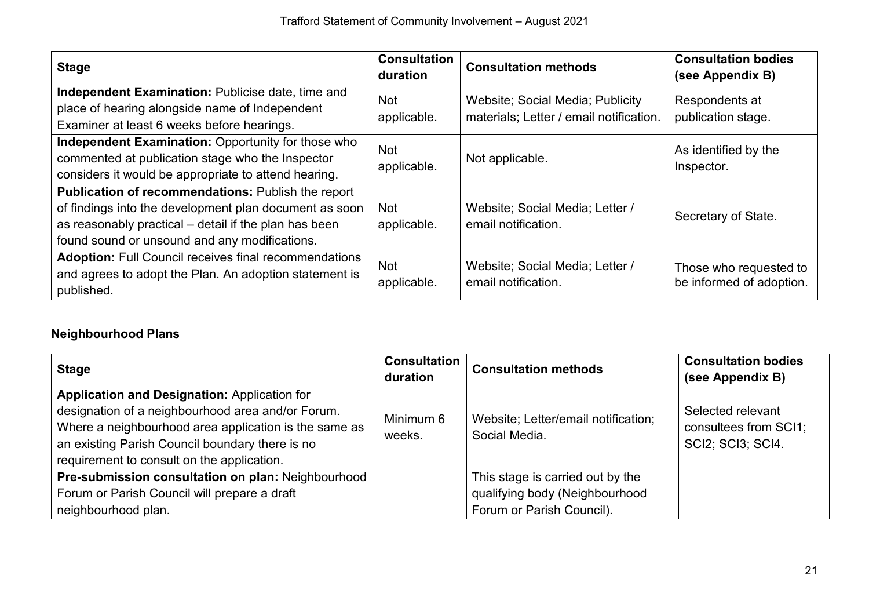| <b>Stage</b>                                                                                                                                                                                                           | <b>Consultation</b><br>duration | <b>Consultation methods</b>                                                 | <b>Consultation bodies</b><br>(see Appendix B)     |
|------------------------------------------------------------------------------------------------------------------------------------------------------------------------------------------------------------------------|---------------------------------|-----------------------------------------------------------------------------|----------------------------------------------------|
| Independent Examination: Publicise date, time and<br>place of hearing alongside name of Independent<br>Examiner at least 6 weeks before hearings.                                                                      | <b>Not</b><br>applicable.       | Website; Social Media; Publicity<br>materials; Letter / email notification. | Respondents at<br>publication stage.               |
| Independent Examination: Opportunity for those who<br>commented at publication stage who the Inspector<br>considers it would be appropriate to attend hearing.                                                         | <b>Not</b><br>applicable.       | Not applicable.                                                             | As identified by the<br>Inspector.                 |
| Publication of recommendations: Publish the report<br>of findings into the development plan document as soon<br>as reasonably practical – detail if the plan has been<br>found sound or unsound and any modifications. | <b>Not</b><br>applicable.       | Website; Social Media; Letter /<br>email notification.                      | Secretary of State.                                |
| <b>Adoption: Full Council receives final recommendations</b><br>and agrees to adopt the Plan. An adoption statement is<br>published.                                                                                   | <b>Not</b><br>applicable.       | Website; Social Media; Letter /<br>email notification.                      | Those who requested to<br>be informed of adoption. |

# **Neighbourhood Plans**

| Stage                                                                                                                                                                                                                                                              | <b>Consultation</b><br>duration | <b>Consultation methods</b>                                                                     | <b>Consultation bodies</b><br>(see Appendix B)                          |
|--------------------------------------------------------------------------------------------------------------------------------------------------------------------------------------------------------------------------------------------------------------------|---------------------------------|-------------------------------------------------------------------------------------------------|-------------------------------------------------------------------------|
| <b>Application and Designation: Application for</b><br>designation of a neighbourhood area and/or Forum.<br>Where a neighbourhood area application is the same as<br>an existing Parish Council boundary there is no<br>requirement to consult on the application. | Minimum 6<br>weeks.             | Website; Letter/email notification;<br>Social Media.                                            | Selected relevant<br>consultees from SCI1;<br><b>SCI2</b> ; SCI3; SCI4. |
| Pre-submission consultation on plan: Neighbourhood<br>Forum or Parish Council will prepare a draft<br>neighbourhood plan.                                                                                                                                          |                                 | This stage is carried out by the<br>qualifying body (Neighbourhood<br>Forum or Parish Council). |                                                                         |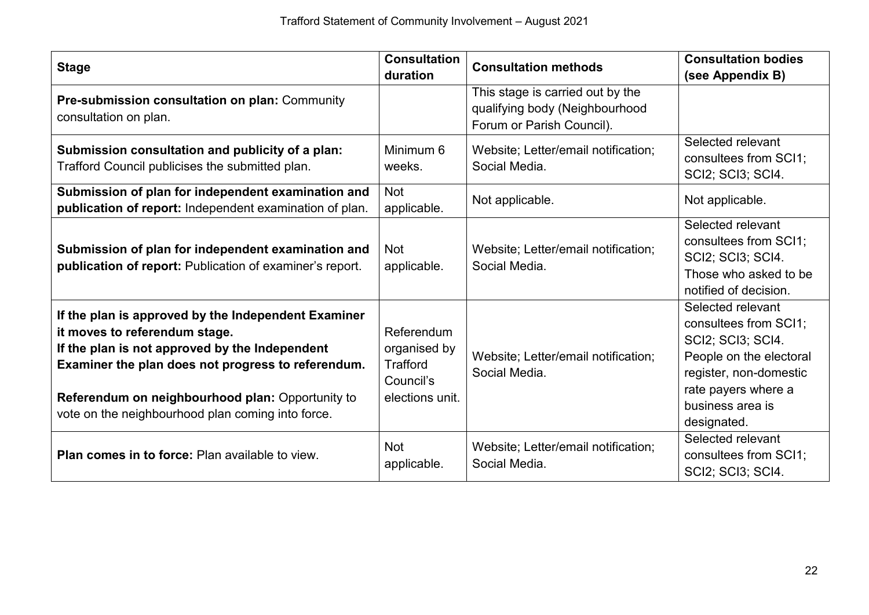| <b>Stage</b>                                                                                                                                                                                                                                                                                          | <b>Consultation</b><br>duration                                        | <b>Consultation methods</b>                                                                     | <b>Consultation bodies</b><br>(see Appendix B)                                                                                                                                 |
|-------------------------------------------------------------------------------------------------------------------------------------------------------------------------------------------------------------------------------------------------------------------------------------------------------|------------------------------------------------------------------------|-------------------------------------------------------------------------------------------------|--------------------------------------------------------------------------------------------------------------------------------------------------------------------------------|
| Pre-submission consultation on plan: Community<br>consultation on plan.                                                                                                                                                                                                                               |                                                                        | This stage is carried out by the<br>qualifying body (Neighbourhood<br>Forum or Parish Council). |                                                                                                                                                                                |
| Submission consultation and publicity of a plan:<br>Trafford Council publicises the submitted plan.                                                                                                                                                                                                   | Minimum 6<br>weeks.                                                    | Website; Letter/email notification;<br>Social Media.                                            | Selected relevant<br>consultees from SCI1;<br>SCI2; SCI3; SCI4.                                                                                                                |
| Submission of plan for independent examination and<br>publication of report: Independent examination of plan.                                                                                                                                                                                         | <b>Not</b><br>applicable.                                              | Not applicable.                                                                                 | Not applicable.                                                                                                                                                                |
| Submission of plan for independent examination and<br>publication of report: Publication of examiner's report.                                                                                                                                                                                        | <b>Not</b><br>applicable.                                              | Website; Letter/email notification;<br>Social Media.                                            | Selected relevant<br>consultees from SCI1;<br>SCI2; SCI3; SCI4.<br>Those who asked to be<br>notified of decision.                                                              |
| If the plan is approved by the Independent Examiner<br>it moves to referendum stage.<br>If the plan is not approved by the Independent<br>Examiner the plan does not progress to referendum.<br>Referendum on neighbourhood plan: Opportunity to<br>vote on the neighbourhood plan coming into force. | Referendum<br>organised by<br>Trafford<br>Council's<br>elections unit. | Website; Letter/email notification;<br>Social Media.                                            | Selected relevant<br>consultees from SCI1;<br>SCI2; SCI3; SCI4.<br>People on the electoral<br>register, non-domestic<br>rate payers where a<br>business area is<br>designated. |
| <b>Plan comes in to force:</b> Plan available to view.                                                                                                                                                                                                                                                | <b>Not</b><br>applicable.                                              | Website; Letter/email notification;<br>Social Media.                                            | Selected relevant<br>consultees from SCI1;<br>SCI2; SCI3; SCI4.                                                                                                                |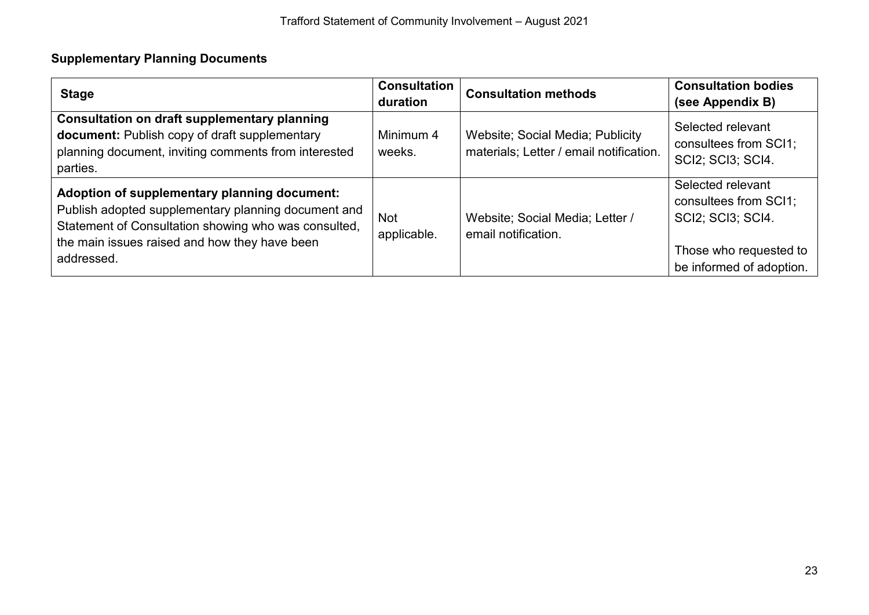# **Supplementary Planning Documents**

| <b>Stage</b>                                                                                                                                                                                                               | <b>Consultation</b><br>duration | <b>Consultation methods</b>                                                 | <b>Consultation bodies</b><br>(see Appendix B)                                                                               |
|----------------------------------------------------------------------------------------------------------------------------------------------------------------------------------------------------------------------------|---------------------------------|-----------------------------------------------------------------------------|------------------------------------------------------------------------------------------------------------------------------|
| <b>Consultation on draft supplementary planning</b><br>document: Publish copy of draft supplementary<br>planning document, inviting comments from interested<br>parties.                                                   | Minimum 4<br>weeks.             | Website; Social Media; Publicity<br>materials; Letter / email notification. | Selected relevant<br>consultees from SCI1;<br>SCI2; SCI3; SCI4.                                                              |
| Adoption of supplementary planning document:<br>Publish adopted supplementary planning document and<br>Statement of Consultation showing who was consulted,<br>the main issues raised and how they have been<br>addressed. | <b>Not</b><br>applicable.       | Website: Social Media: Letter /<br>email notification.                      | Selected relevant<br>consultees from SCI1;<br><b>SCI2: SCI3: SCI4.</b><br>Those who requested to<br>be informed of adoption. |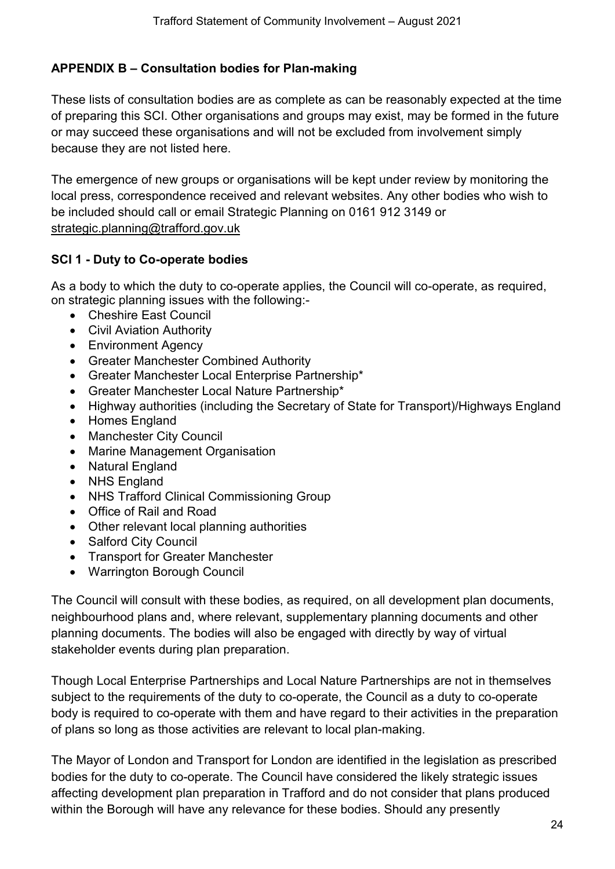# <span id="page-23-0"></span>**APPENDIX B – Consultation bodies for Plan-making**

These lists of consultation bodies are as complete as can be reasonably expected at the time of preparing this SCI. Other organisations and groups may exist, may be formed in the future or may succeed these organisations and will not be excluded from involvement simply because they are not listed here.

The emergence of new groups or organisations will be kept under review by monitoring the local press, correspondence received and relevant websites. Any other bodies who wish to be included should call or email Strategic Planning on 0161 912 3149 or [strategic.planning@trafford.gov.uk](mailto:strategic.planning@trafford.gov.uk)

#### **SCI 1 - Duty to Co-operate bodies**

As a body to which the duty to co-operate applies, the Council will co-operate, as required, on strategic planning issues with the following:-

- Cheshire East Council
- Civil Aviation Authority
- Environment Agency
- Greater Manchester Combined Authority
- Greater Manchester Local Enterprise Partnership\*
- Greater Manchester Local Nature Partnership\*
- Highway authorities (including the Secretary of State for Transport)/Highways England
- Homes England
- Manchester City Council
- Marine Management Organisation
- Natural England
- NHS England
- NHS Trafford Clinical Commissioning Group
- Office of Rail and Road
- Other relevant local planning authorities
- Salford City Council
- Transport for Greater Manchester
- Warrington Borough Council

The Council will consult with these bodies, as required, on all development plan documents, neighbourhood plans and, where relevant, supplementary planning documents and other planning documents. The bodies will also be engaged with directly by way of virtual stakeholder events during plan preparation.

Though Local Enterprise Partnerships and Local Nature Partnerships are not in themselves subject to the requirements of the duty to co-operate, the Council as a duty to co-operate body is required to co-operate with them and have regard to their activities in the preparation of plans so long as those activities are relevant to local plan-making.

The Mayor of London and Transport for London are identified in the legislation as prescribed bodies for the duty to co-operate. The Council have considered the likely strategic issues affecting development plan preparation in Trafford and do not consider that plans produced within the Borough will have any relevance for these bodies. Should any presently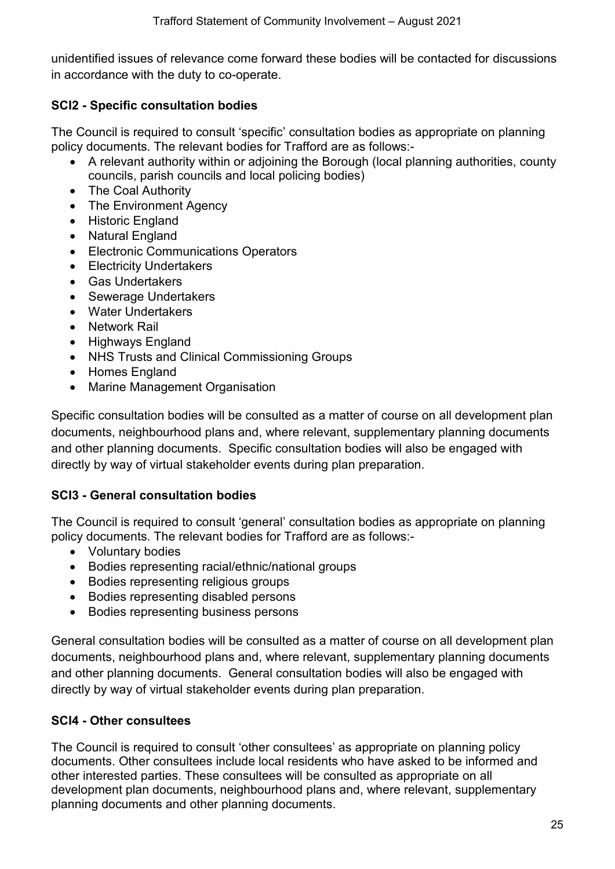unidentified issues of relevance come forward these bodies will be contacted for discussions in accordance with the duty to co-operate.

#### **SCI2 - Specific consultation bodies**

The Council is required to consult 'specific' consultation bodies as appropriate on planning policy documents. The relevant bodies for Trafford are as follows:-

- A relevant authority within or adioining the Borough (local planning authorities, county councils, parish councils and local policing bodies)
- The Coal Authority
- The Environment Agency
- Historic England
- Natural England
- Electronic Communications Operators
- Electricity Undertakers
- Gas Undertakers
- Sewerage Undertakers
- Water Undertakers
- Network Rail
- Highways England
- NHS Trusts and Clinical Commissioning Groups
- Homes England
- Marine Management Organisation

Specific consultation bodies will be consulted as a matter of course on all development plan documents, neighbourhood plans and, where relevant, supplementary planning documents and other planning documents. Specific consultation bodies will also be engaged with directly by way of virtual stakeholder events during plan preparation.

# **SCI3 - General consultation bodies**

The Council is required to consult 'general' consultation bodies as appropriate on planning policy documents. The relevant bodies for Trafford are as follows:-

- Voluntary bodies
- Bodies representing racial/ethnic/national groups
- Bodies representing religious groups
- Bodies representing disabled persons
- Bodies representing business persons

General consultation bodies will be consulted as a matter of course on all development plan documents, neighbourhood plans and, where relevant, supplementary planning documents and other planning documents. General consultation bodies will also be engaged with directly by way of virtual stakeholder events during plan preparation.

# **SCI4 - Other consultees**

The Council is required to consult 'other consultees' as appropriate on planning policy documents. Other consultees include local residents who have asked to be informed and other interested parties. These consultees will be consulted as appropriate on all development plan documents, neighbourhood plans and, where relevant, supplementary planning documents and other planning documents.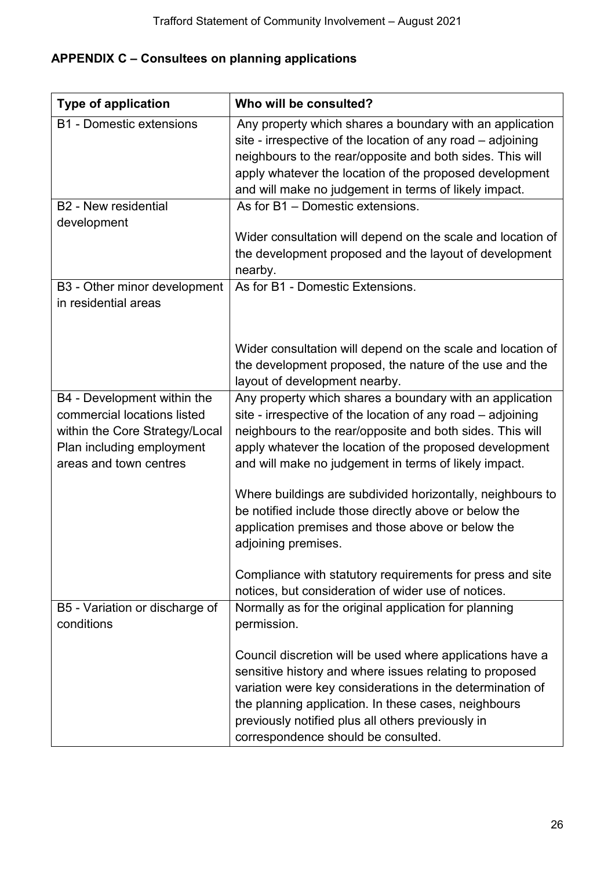# <span id="page-25-0"></span>**APPENDIX C – Consultees on planning applications**

| <b>Type of application</b>                                                                                                                          | Who will be consulted?                                                                                                                                                                                                                                                                                                                |
|-----------------------------------------------------------------------------------------------------------------------------------------------------|---------------------------------------------------------------------------------------------------------------------------------------------------------------------------------------------------------------------------------------------------------------------------------------------------------------------------------------|
| <b>B1 - Domestic extensions</b>                                                                                                                     | Any property which shares a boundary with an application<br>site - irrespective of the location of any road - adjoining<br>neighbours to the rear/opposite and both sides. This will<br>apply whatever the location of the proposed development<br>and will make no judgement in terms of likely impact.                              |
| <b>B2</b> - New residential                                                                                                                         | As for B1 - Domestic extensions.                                                                                                                                                                                                                                                                                                      |
| development                                                                                                                                         | Wider consultation will depend on the scale and location of<br>the development proposed and the layout of development<br>nearby.                                                                                                                                                                                                      |
| B3 - Other minor development<br>in residential areas                                                                                                | As for B1 - Domestic Extensions.                                                                                                                                                                                                                                                                                                      |
|                                                                                                                                                     | Wider consultation will depend on the scale and location of<br>the development proposed, the nature of the use and the<br>layout of development nearby.                                                                                                                                                                               |
| B4 - Development within the<br>commercial locations listed<br>within the Core Strategy/Local<br>Plan including employment<br>areas and town centres | Any property which shares a boundary with an application<br>site - irrespective of the location of any road - adjoining<br>neighbours to the rear/opposite and both sides. This will<br>apply whatever the location of the proposed development<br>and will make no judgement in terms of likely impact.                              |
|                                                                                                                                                     | Where buildings are subdivided horizontally, neighbours to<br>be notified include those directly above or below the<br>application premises and those above or below the<br>adjoining premises.                                                                                                                                       |
|                                                                                                                                                     | Compliance with statutory requirements for press and site<br>notices, but consideration of wider use of notices.                                                                                                                                                                                                                      |
| B5 - Variation or discharge of<br>conditions                                                                                                        | Normally as for the original application for planning<br>permission.                                                                                                                                                                                                                                                                  |
|                                                                                                                                                     | Council discretion will be used where applications have a<br>sensitive history and where issues relating to proposed<br>variation were key considerations in the determination of<br>the planning application. In these cases, neighbours<br>previously notified plus all others previously in<br>correspondence should be consulted. |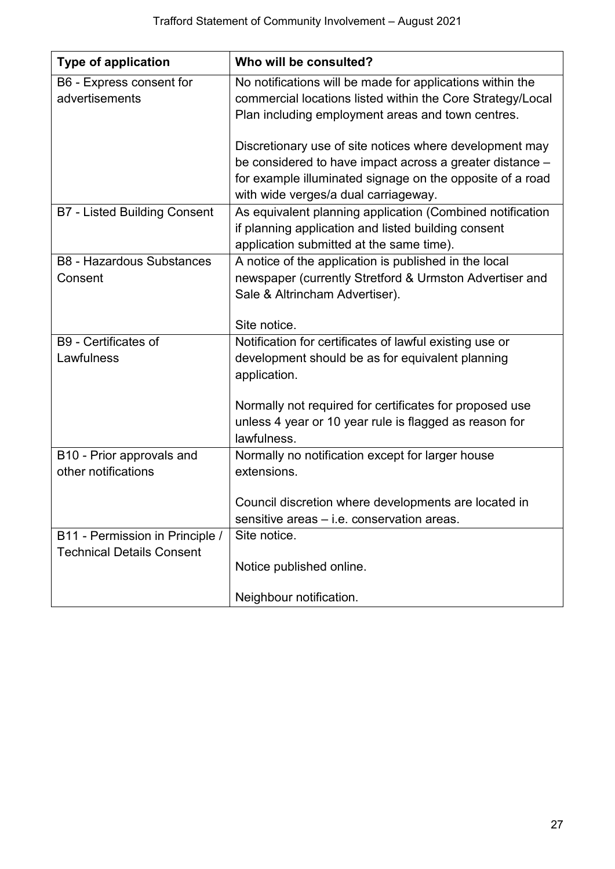| <b>Type of application</b>                  | Who will be consulted?                                                                                           |  |
|---------------------------------------------|------------------------------------------------------------------------------------------------------------------|--|
| B6 - Express consent for                    | No notifications will be made for applications within the                                                        |  |
| advertisements                              | commercial locations listed within the Core Strategy/Local                                                       |  |
|                                             | Plan including employment areas and town centres.                                                                |  |
|                                             | Discretionary use of site notices where development may                                                          |  |
|                                             | be considered to have impact across a greater distance -                                                         |  |
|                                             | for example illuminated signage on the opposite of a road                                                        |  |
|                                             | with wide verges/a dual carriageway.                                                                             |  |
| <b>B7 - Listed Building Consent</b>         | As equivalent planning application (Combined notification                                                        |  |
|                                             | if planning application and listed building consent                                                              |  |
|                                             | application submitted at the same time).                                                                         |  |
| <b>B8 - Hazardous Substances</b><br>Consent | A notice of the application is published in the local<br>newspaper (currently Stretford & Urmston Advertiser and |  |
|                                             | Sale & Altrincham Advertiser).                                                                                   |  |
|                                             |                                                                                                                  |  |
|                                             | Site notice.                                                                                                     |  |
| B9 - Certificates of                        | Notification for certificates of lawful existing use or                                                          |  |
| Lawfulness                                  | development should be as for equivalent planning                                                                 |  |
|                                             | application.                                                                                                     |  |
|                                             | Normally not required for certificates for proposed use                                                          |  |
|                                             | unless 4 year or 10 year rule is flagged as reason for                                                           |  |
|                                             | lawfulness.                                                                                                      |  |
| B10 - Prior approvals and                   | Normally no notification except for larger house                                                                 |  |
| other notifications                         | extensions.                                                                                                      |  |
|                                             |                                                                                                                  |  |
|                                             | Council discretion where developments are located in<br>sensitive areas - i.e. conservation areas.               |  |
| B11 - Permission in Principle /             | Site notice.                                                                                                     |  |
| <b>Technical Details Consent</b>            |                                                                                                                  |  |
|                                             | Notice published online.                                                                                         |  |
|                                             |                                                                                                                  |  |
|                                             | Neighbour notification.                                                                                          |  |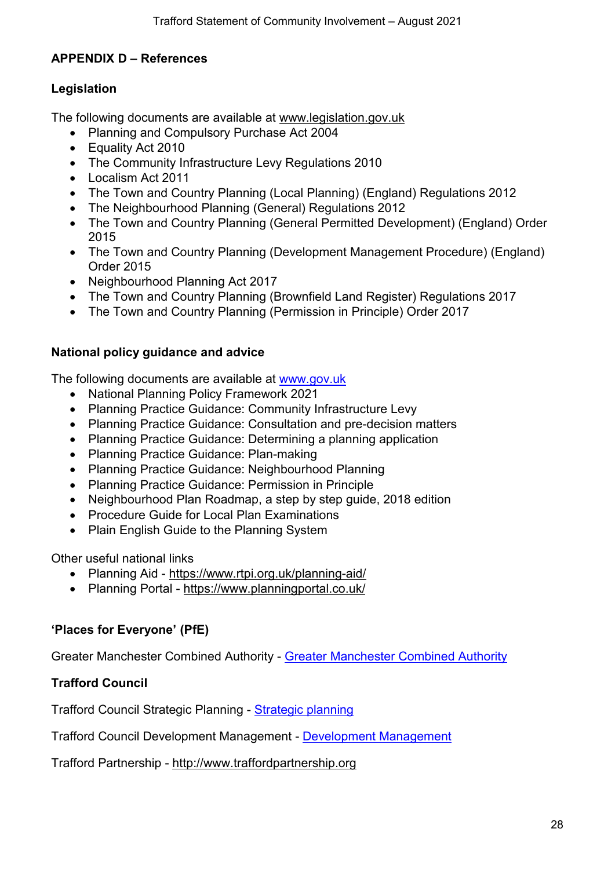# <span id="page-27-0"></span>**APPENDIX D – References**

#### **Legislation**

The following documents are available at [www.legislation.gov.uk](http://www.legislation.gov.uk/)

- Planning and Compulsory Purchase Act 2004
- Equality Act 2010
- The Community Infrastructure Levy Regulations 2010
- Localism Act 2011
- The Town and Country Planning (Local Planning) (England) Regulations 2012
- The Neighbourhood Planning (General) Regulations 2012
- The Town and Country Planning (General Permitted Development) (England) Order 2015
- The Town and Country Planning (Development Management Procedure) (England) Order 2015
- Neighbourhood Planning Act 2017
- The Town and Country Planning (Brownfield Land Register) Regulations 2017
- The Town and Country Planning (Permission in Principle) Order 2017

#### **National policy guidance and advice**

The following documents are available at [www.gov.uk](http://www.gov.uk:-)

- National Planning Policy Framework 2021
- Planning Practice Guidance: Community Infrastructure Levy
- Planning Practice Guidance: Consultation and pre-decision matters
- Planning Practice Guidance: Determining a planning application
- Planning Practice Guidance: Plan-making
- Planning Practice Guidance: Neighbourhood Planning
- Planning Practice Guidance: Permission in Principle
- Neighbourhood Plan Roadmap, a step by step guide, 2018 edition
- Procedure Guide for Local Plan Examinations
- Plain English Guide to the Planning System

Other useful national links

- Planning Aid <https://www.rtpi.org.uk/planning-aid/>
- Planning Portal <https://www.planningportal.co.uk/>

# **'Places for Everyone' (PfE)**

Greater Manchester Combined Authority - [Greater Manchester Combined Authority](https://www.greatermanchester-ca.gov.uk/what-we-do/housing/greater-manchester-spatial-framework/)

# **Trafford Council**

Trafford Council Strategic Planning - [Strategic planning](https://www.trafford.gov.uk/planning/strategic-planning/strategic-planning.aspx)

Trafford Council Development Management - [Development Management](https://www.trafford.gov.uk/planning/development-control/development-management.aspx)

Trafford Partnership - [http://www.traffordpartnership.org](http://www.traffordpartnership.org/)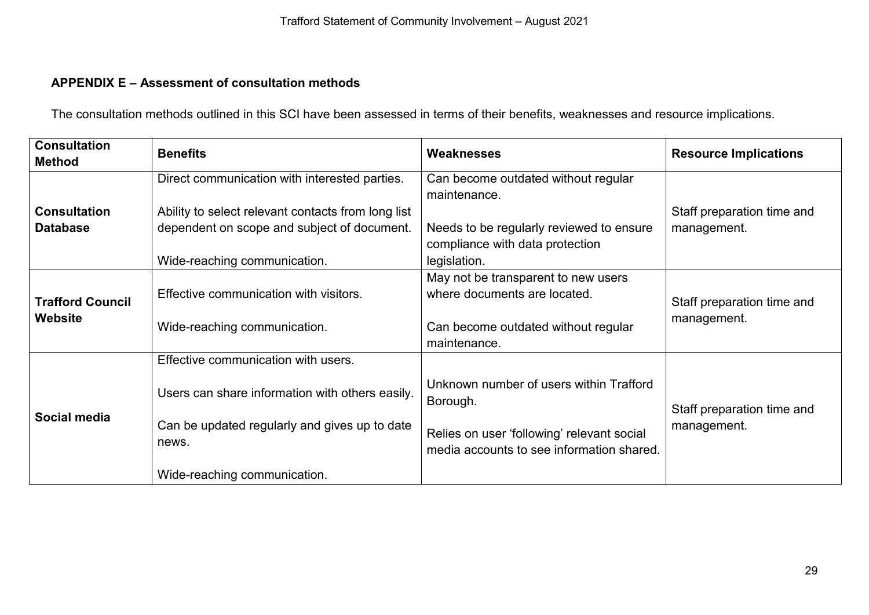# **APPENDIX E – Assessment of consultation methods**

The consultation methods outlined in this SCI have been assessed in terms of their benefits, weaknesses and resource implications.

<span id="page-28-0"></span>

| <b>Consultation</b><br><b>Method</b>      | <b>Benefits</b>                                                                                                                                                                  | Weaknesses                                                                                                                                     | <b>Resource Implications</b>              |  |
|-------------------------------------------|----------------------------------------------------------------------------------------------------------------------------------------------------------------------------------|------------------------------------------------------------------------------------------------------------------------------------------------|-------------------------------------------|--|
|                                           | Direct communication with interested parties.                                                                                                                                    | Can become outdated without regular<br>maintenance.                                                                                            |                                           |  |
| <b>Consultation</b><br><b>Database</b>    | Ability to select relevant contacts from long list<br>dependent on scope and subject of document.                                                                                | Needs to be regularly reviewed to ensure<br>compliance with data protection                                                                    | Staff preparation time and<br>management. |  |
| <b>Trafford Council</b><br><b>Website</b> | Wide-reaching communication.<br>Effective communication with visitors.<br>Wide-reaching communication.                                                                           | legislation.<br>May not be transparent to new users<br>where documents are located.<br>Can become outdated without regular<br>maintenance.     | Staff preparation time and<br>management. |  |
| Social media                              | Effective communication with users.<br>Users can share information with others easily.<br>Can be updated regularly and gives up to date<br>news.<br>Wide-reaching communication. | Unknown number of users within Trafford<br>Borough.<br>Relies on user 'following' relevant social<br>media accounts to see information shared. | Staff preparation time and<br>management. |  |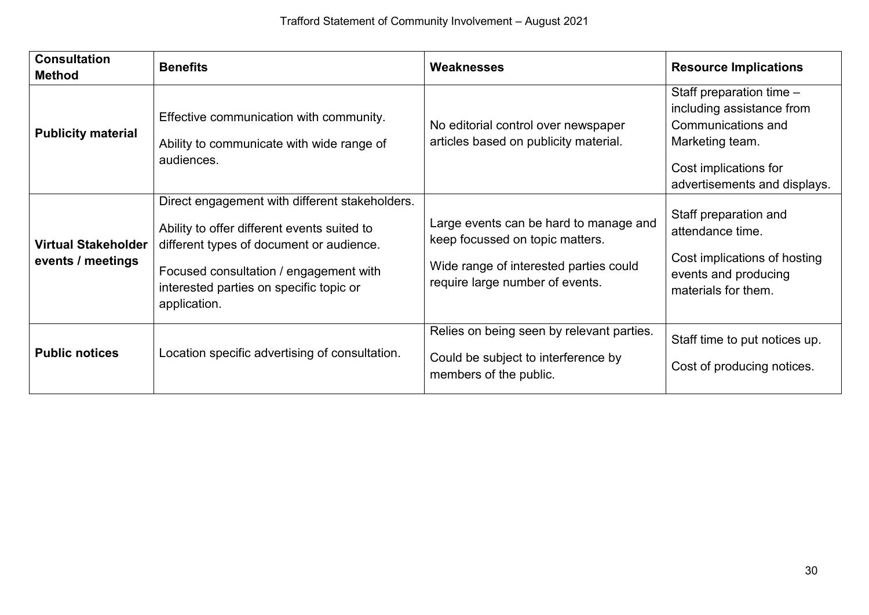| <b>Consultation</b><br><b>Method</b>            | <b>Benefits</b>                                                                                                                                                                                                                                | <b>Weaknesses</b>                                                                                                                                      | <b>Resource Implications</b>                                                                                                                              |
|-------------------------------------------------|------------------------------------------------------------------------------------------------------------------------------------------------------------------------------------------------------------------------------------------------|--------------------------------------------------------------------------------------------------------------------------------------------------------|-----------------------------------------------------------------------------------------------------------------------------------------------------------|
| <b>Publicity material</b>                       | Effective communication with community.<br>Ability to communicate with wide range of<br>audiences.                                                                                                                                             | No editorial control over newspaper<br>articles based on publicity material.                                                                           | Staff preparation time $-$<br>including assistance from<br>Communications and<br>Marketing team.<br>Cost implications for<br>advertisements and displays. |
| <b>Virtual Stakeholder</b><br>events / meetings | Direct engagement with different stakeholders.<br>Ability to offer different events suited to<br>different types of document or audience.<br>Focused consultation / engagement with<br>interested parties on specific topic or<br>application. | Large events can be hard to manage and<br>keep focussed on topic matters.<br>Wide range of interested parties could<br>require large number of events. | Staff preparation and<br>attendance time.<br>Cost implications of hosting<br>events and producing<br>materials for them.                                  |
| <b>Public notices</b>                           | Location specific advertising of consultation.                                                                                                                                                                                                 | Relies on being seen by relevant parties.<br>Could be subject to interference by<br>members of the public.                                             | Staff time to put notices up.<br>Cost of producing notices.                                                                                               |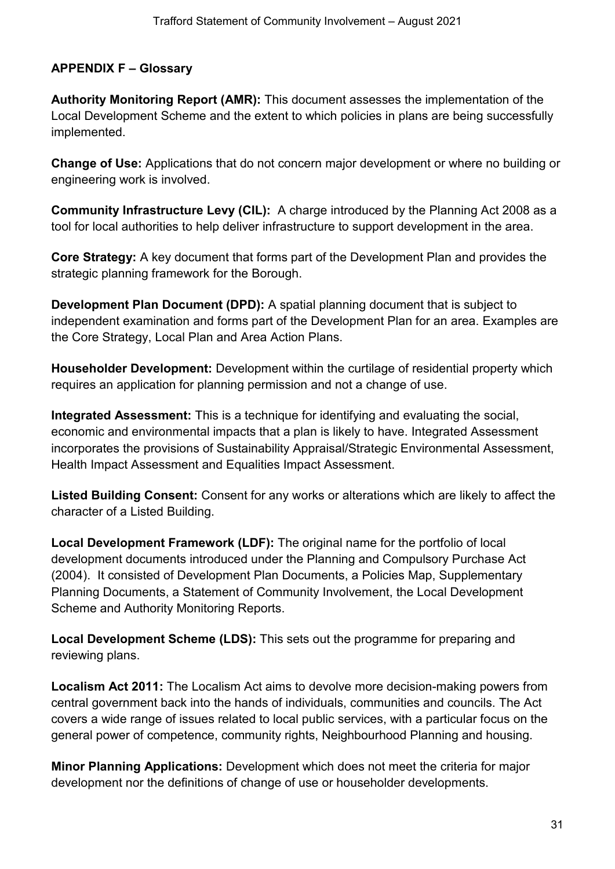# <span id="page-30-0"></span>**APPENDIX F – Glossary**

**Authority Monitoring Report (AMR):** This document assesses the implementation of the Local Development Scheme and the extent to which policies in plans are being successfully implemented.

**Change of Use:** Applications that do not concern major development or where no building or engineering work is involved.

**Community Infrastructure Levy (CIL):** A charge introduced by the Planning Act 2008 as a tool for local authorities to help deliver infrastructure to support development in the area.

**Core Strategy:** A key document that forms part of the Development Plan and provides the strategic planning framework for the Borough.

**Development Plan Document (DPD):** A spatial planning document that is subject to independent examination and forms part of the Development Plan for an area. Examples are the Core Strategy, Local Plan and Area Action Plans.

**Householder Development:** Development within the curtilage of residential property which requires an application for planning permission and not a change of use.

**Integrated Assessment:** This is a technique for identifying and evaluating the social, economic and environmental impacts that a plan is likely to have. Integrated Assessment incorporates the provisions of Sustainability Appraisal/Strategic Environmental Assessment, Health Impact Assessment and Equalities Impact Assessment.

**Listed Building Consent:** Consent for any works or alterations which are likely to affect the character of a Listed Building.

**Local Development Framework (LDF):** The original name for the portfolio of local development documents introduced under the Planning and Compulsory Purchase Act (2004). It consisted of Development Plan Documents, a Policies Map, Supplementary Planning Documents, a Statement of Community Involvement, the Local Development Scheme and Authority Monitoring Reports.

**Local Development Scheme (LDS):** This sets out the programme for preparing and reviewing plans.

**Localism Act 2011:** The Localism Act aims to devolve more decision-making powers from central government back into the hands of individuals, communities and councils. The Act covers a wide range of issues related to local public services, with a particular focus on the general power of competence, community rights, Neighbourhood Planning and housing.

**Minor Planning Applications:** Development which does not meet the criteria for major development nor the definitions of change of use or householder developments.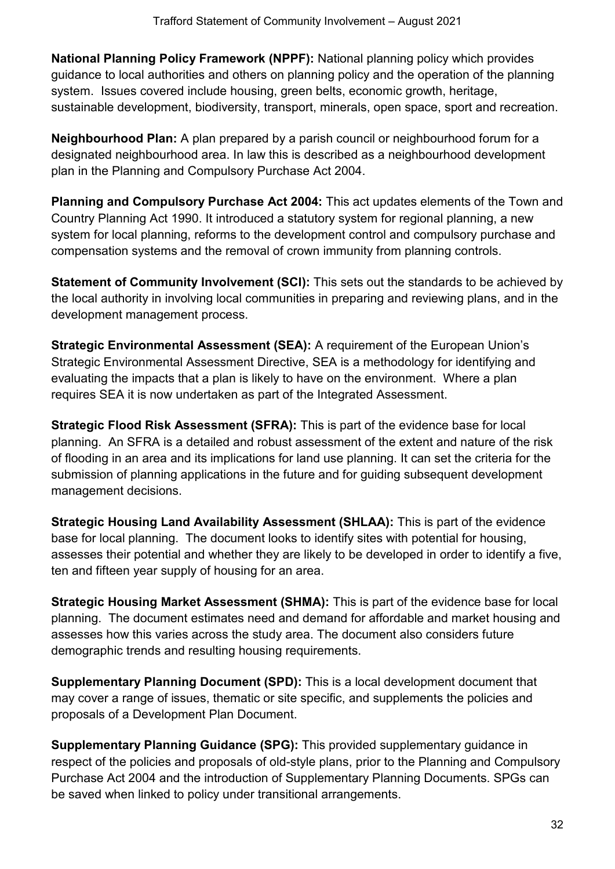**National Planning Policy Framework (NPPF):** National planning policy which provides guidance to local authorities and others on planning policy and the operation of the planning system. Issues covered include housing, green belts, economic growth, heritage, sustainable development, biodiversity, transport, minerals, open space, sport and recreation.

**Neighbourhood Plan:** A plan prepared by a parish council or neighbourhood forum for a designated neighbourhood area. In law this is described as a neighbourhood development plan in the Planning and Compulsory Purchase Act 2004.

**Planning and Compulsory Purchase Act 2004:** This act updates elements of the Town and Country Planning Act 1990. It introduced a statutory system for regional planning, a new system for local planning, reforms to the development control and compulsory purchase and compensation systems and the removal of crown immunity from planning controls.

**Statement of Community Involvement (SCI):** This sets out the standards to be achieved by the local authority in involving local communities in preparing and reviewing plans, and in the development management process.

**Strategic Environmental Assessment (SEA):** A requirement of the European Union's Strategic Environmental Assessment Directive, SEA is a methodology for identifying and evaluating the impacts that a plan is likely to have on the environment. Where a plan requires SEA it is now undertaken as part of the Integrated Assessment.

**Strategic Flood Risk Assessment (SFRA):** This is part of the evidence base for local planning. An SFRA is a detailed and robust assessment of the extent and nature of the risk of flooding in an area and its implications for land use planning. It can set the criteria for the submission of planning applications in the future and for guiding subsequent development management decisions.

**Strategic Housing Land Availability Assessment (SHLAA):** This is part of the evidence base for local planning. The document looks to identify sites with potential for housing, assesses their potential and whether they are likely to be developed in order to identify a five, ten and fifteen year supply of housing for an area.

**Strategic Housing Market Assessment (SHMA):** This is part of the evidence base for local planning. The document estimates need and demand for affordable and market housing and assesses how this varies across the study area. The document also considers future demographic trends and resulting housing requirements.

**Supplementary Planning Document (SPD):** This is a local development document that may cover a range of issues, thematic or site specific, and supplements the policies and proposals of a Development Plan Document.

**Supplementary Planning Guidance (SPG):** This provided supplementary guidance in respect of the policies and proposals of old-style plans, prior to the Planning and Compulsory Purchase Act 2004 and the introduction of Supplementary Planning Documents. SPGs can be saved when linked to policy under transitional arrangements.